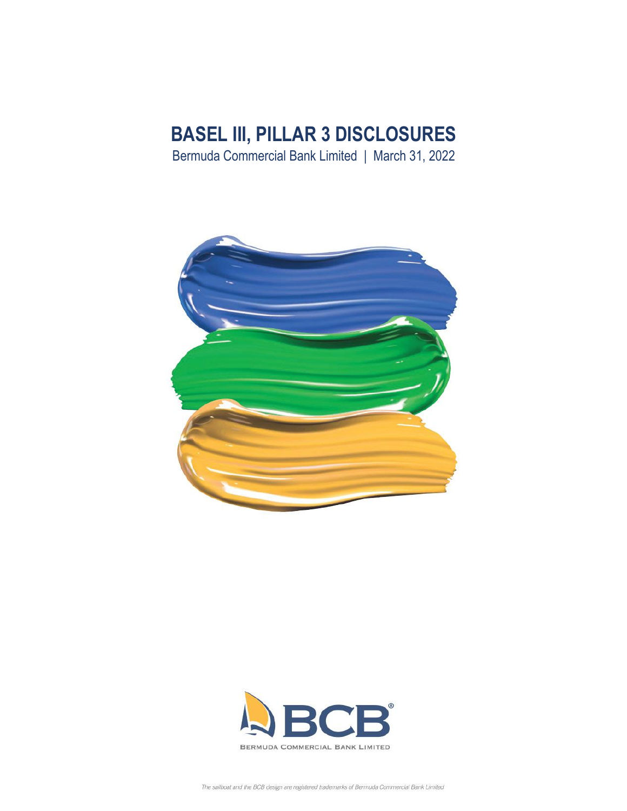# **BASEL III, PILLAR 3 DISCLOSURES**

Bermuda Commercial Bank Limited | March 31, 2022



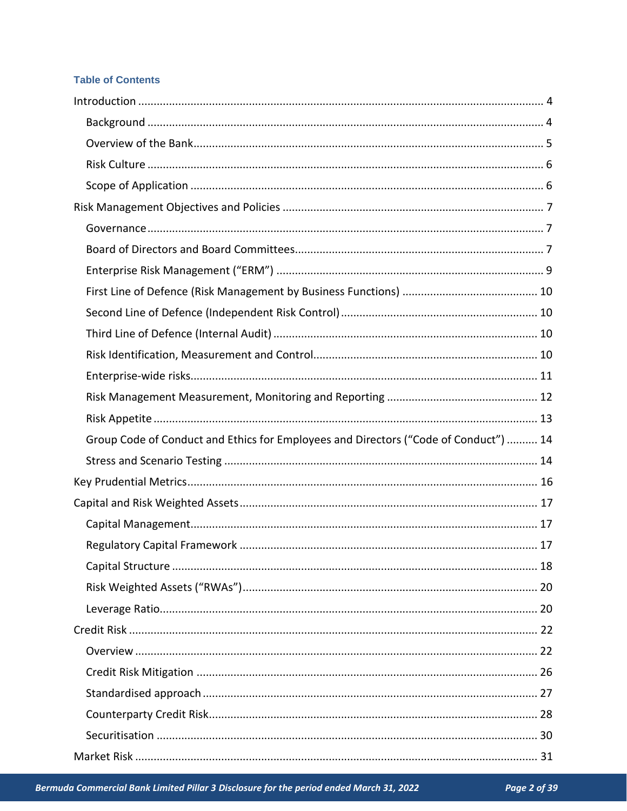# **Table of Contents**

| Group Code of Conduct and Ethics for Employees and Directors ("Code of Conduct")  14 |  |
|--------------------------------------------------------------------------------------|--|
|                                                                                      |  |
|                                                                                      |  |
|                                                                                      |  |
|                                                                                      |  |
|                                                                                      |  |
|                                                                                      |  |
|                                                                                      |  |
|                                                                                      |  |
|                                                                                      |  |
|                                                                                      |  |
|                                                                                      |  |
|                                                                                      |  |
|                                                                                      |  |
|                                                                                      |  |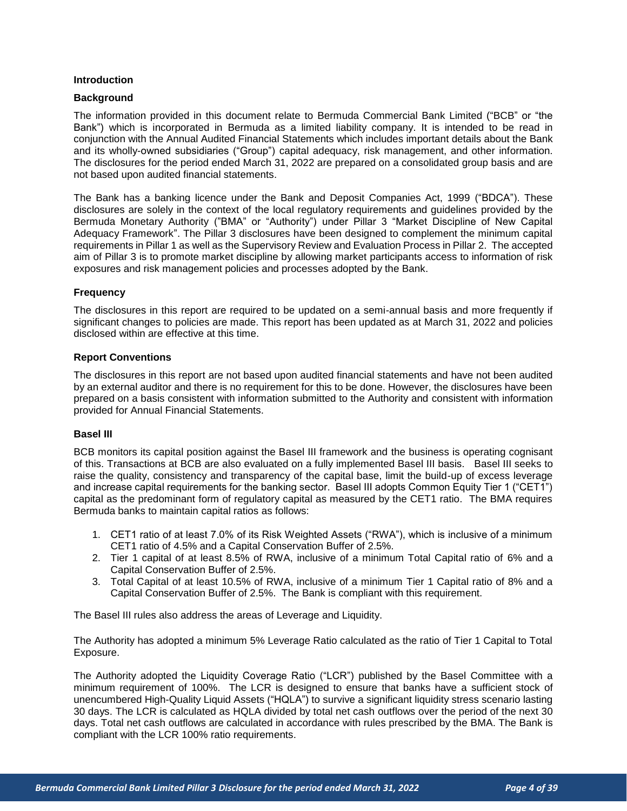#### <span id="page-3-0"></span>**Introduction**

#### <span id="page-3-1"></span>**Background**

The information provided in this document relate to Bermuda Commercial Bank Limited ("BCB" or "the Bank") which is incorporated in Bermuda as a limited liability company. It is intended to be read in conjunction with the Annual Audited Financial Statements which includes important details about the Bank and its wholly-owned subsidiaries ("Group") capital adequacy, risk management, and other information. The disclosures for the period ended March 31, 2022 are prepared on a consolidated group basis and are not based upon audited financial statements.

The Bank has a banking licence under the Bank and Deposit Companies Act, 1999 ("BDCA"). These disclosures are solely in the context of the local regulatory requirements and guidelines provided by the Bermuda Monetary Authority ("BMA" or "Authority") under Pillar 3 "Market Discipline of New Capital Adequacy Framework". The Pillar 3 disclosures have been designed to complement the minimum capital requirements in Pillar 1 as well as the Supervisory Review and Evaluation Process in Pillar 2. The accepted aim of Pillar 3 is to promote market discipline by allowing market participants access to information of risk exposures and risk management policies and processes adopted by the Bank.

#### **Frequency**

The disclosures in this report are required to be updated on a semi-annual basis and more frequently if significant changes to policies are made. This report has been updated as at March 31, 2022 and policies disclosed within are effective at this time.

#### **Report Conventions**

The disclosures in this report are not based upon audited financial statements and have not been audited by an external auditor and there is no requirement for this to be done. However, the disclosures have been prepared on a basis consistent with information submitted to the Authority and consistent with information provided for Annual Financial Statements.

#### **Basel III**

BCB monitors its capital position against the Basel III framework and the business is operating cognisant of this. Transactions at BCB are also evaluated on a fully implemented Basel III basis. Basel III seeks to raise the quality, consistency and transparency of the capital base, limit the build-up of excess leverage and increase capital requirements for the banking sector. Basel III adopts Common Equity Tier 1 ("CET1") capital as the predominant form of regulatory capital as measured by the CET1 ratio. The BMA requires Bermuda banks to maintain capital ratios as follows:

- 1. CET1 ratio of at least 7.0% of its Risk Weighted Assets ("RWA"), which is inclusive of a minimum CET1 ratio of 4.5% and a Capital Conservation Buffer of 2.5%.
- 2. Tier 1 capital of at least 8.5% of RWA, inclusive of a minimum Total Capital ratio of 6% and a Capital Conservation Buffer of 2.5%.
- 3. Total Capital of at least 10.5% of RWA, inclusive of a minimum Tier 1 Capital ratio of 8% and a Capital Conservation Buffer of 2.5%. The Bank is compliant with this requirement.

The Basel III rules also address the areas of Leverage and Liquidity.

The Authority has adopted a minimum 5% Leverage Ratio calculated as the ratio of Tier 1 Capital to Total Exposure.

The Authority adopted the Liquidity Coverage Ratio ("LCR") published by the Basel Committee with a minimum requirement of 100%. The LCR is designed to ensure that banks have a sufficient stock of unencumbered High-Quality Liquid Assets ("HQLA") to survive a significant liquidity stress scenario lasting 30 days. The LCR is calculated as HQLA divided by total net cash outflows over the period of the next 30 days. Total net cash outflows are calculated in accordance with rules prescribed by the BMA. The Bank is compliant with the LCR 100% ratio requirements.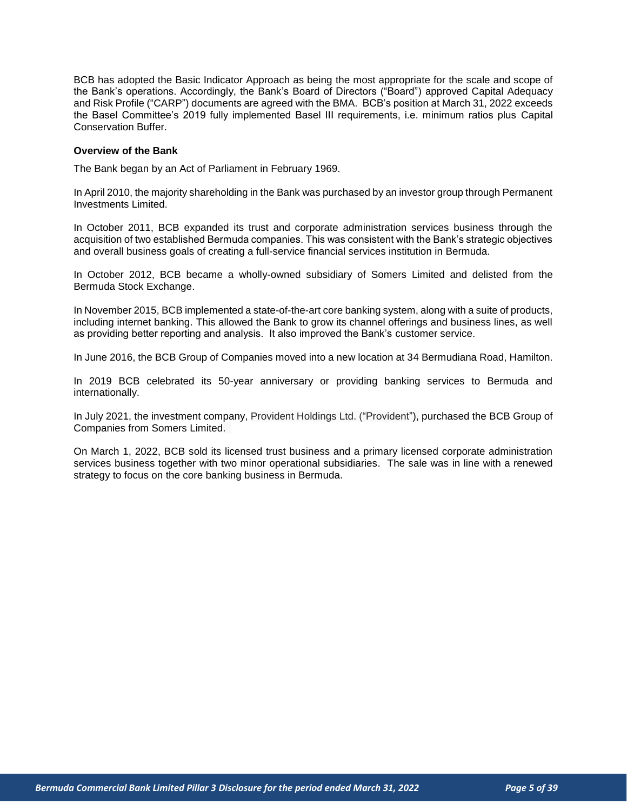BCB has adopted the Basic Indicator Approach as being the most appropriate for the scale and scope of the Bank's operations. Accordingly, the Bank's Board of Directors ("Board") approved Capital Adequacy and Risk Profile ("CARP") documents are agreed with the BMA. BCB's position at March 31, 2022 exceeds the Basel Committee's 2019 fully implemented Basel III requirements, i.e. minimum ratios plus Capital Conservation Buffer.

#### <span id="page-4-0"></span>**Overview of the Bank**

The Bank began by an Act of Parliament in February 1969.

In April 2010, the majority shareholding in the Bank was purchased by an investor group through Permanent Investments Limited.

In October 2011, BCB expanded its trust and corporate administration services business through the acquisition of two established Bermuda companies. This was consistent with the Bank's strategic objectives and overall business goals of creating a full-service financial services institution in Bermuda.

In October 2012, BCB became a wholly-owned subsidiary of Somers Limited and delisted from the Bermuda Stock Exchange.

In November 2015, BCB implemented a state-of-the-art core banking system, along with a suite of products, including internet banking. This allowed the Bank to grow its channel offerings and business lines, as well as providing better reporting and analysis. It also improved the Bank's customer service.

In June 2016, the BCB Group of Companies moved into a new location at 34 Bermudiana Road, Hamilton.

In 2019 BCB celebrated its 50-year anniversary or providing banking services to Bermuda and internationally.

In July 2021, the investment company, Provident Holdings Ltd. ("Provident"), purchased the BCB Group of Companies from Somers Limited.

On March 1, 2022, BCB sold its licensed trust business and a primary licensed corporate administration services business together with two minor operational subsidiaries. The sale was in line with a renewed strategy to focus on the core banking business in Bermuda.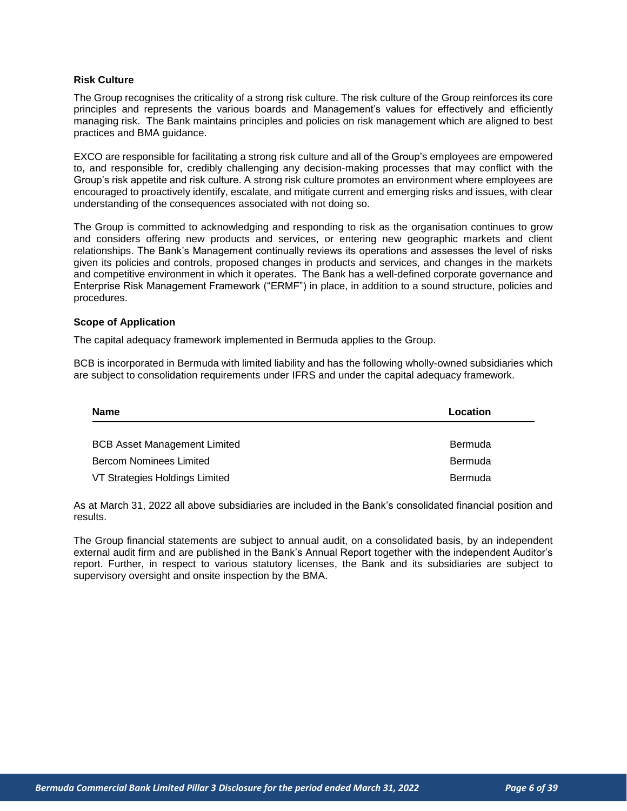#### <span id="page-5-0"></span>**Risk Culture**

The Group recognises the criticality of a strong risk culture. The risk culture of the Group reinforces its core principles and represents the various boards and Management's values for effectively and efficiently managing risk. The Bank maintains principles and policies on risk management which are aligned to best practices and BMA guidance.

EXCO are responsible for facilitating a strong risk culture and all of the Group's employees are empowered to, and responsible for, credibly challenging any decision-making processes that may conflict with the Group's risk appetite and risk culture. A strong risk culture promotes an environment where employees are encouraged to proactively identify, escalate, and mitigate current and emerging risks and issues, with clear understanding of the consequences associated with not doing so.

The Group is committed to acknowledging and responding to risk as the organisation continues to grow and considers offering new products and services, or entering new geographic markets and client relationships. The Bank's Management continually reviews its operations and assesses the level of risks given its policies and controls, proposed changes in products and services, and changes in the markets and competitive environment in which it operates. The Bank has a well-defined corporate governance and Enterprise Risk Management Framework ("ERMF") in place, in addition to a sound structure, policies and procedures.

#### <span id="page-5-1"></span>**Scope of Application**

The capital adequacy framework implemented in Bermuda applies to the Group.

BCB is incorporated in Bermuda with limited liability and has the following wholly-owned subsidiaries which are subject to consolidation requirements under IFRS and under the capital adequacy framework.

| <b>Name</b>                         | Location |
|-------------------------------------|----------|
|                                     |          |
| <b>BCB Asset Management Limited</b> | Bermuda  |
| <b>Bercom Nominees Limited</b>      | Bermuda  |
| VT Strategies Holdings Limited      | Bermuda  |

As at March 31, 2022 all above subsidiaries are included in the Bank's consolidated financial position and results.

The Group financial statements are subject to annual audit, on a consolidated basis, by an independent external audit firm and are published in the Bank's Annual Report together with the independent Auditor's report. Further, in respect to various statutory licenses, the Bank and its subsidiaries are subject to supervisory oversight and onsite inspection by the BMA.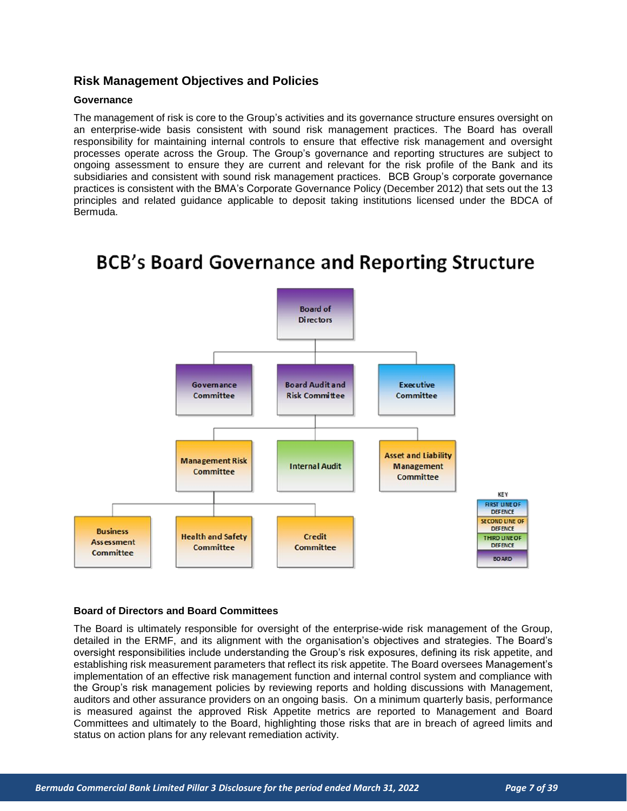## <span id="page-6-0"></span>**Risk Management Objectives and Policies**

#### <span id="page-6-1"></span>**Governance**

The management of risk is core to the Group's activities and its governance structure ensures oversight on an enterprise-wide basis consistent with sound risk management practices. The Board has overall responsibility for maintaining internal controls to ensure that effective risk management and oversight processes operate across the Group. The Group's governance and reporting structures are subject to ongoing assessment to ensure they are current and relevant for the risk profile of the Bank and its subsidiaries and consistent with sound risk management practices. BCB Group's corporate governance practices is consistent with the BMA's Corporate Governance Policy (December 2012) that sets out the 13 principles and related guidance applicable to deposit taking institutions licensed under the BDCA of Bermuda.

# **BCB's Board Governance and Reporting Structure**



#### <span id="page-6-2"></span>**Board of Directors and Board Committees**

The Board is ultimately responsible for oversight of the enterprise-wide risk management of the Group, detailed in the ERMF, and its alignment with the organisation's objectives and strategies. The Board's oversight responsibilities include understanding the Group's risk exposures, defining its risk appetite, and establishing risk measurement parameters that reflect its risk appetite. The Board oversees Management's implementation of an effective risk management function and internal control system and compliance with the Group's risk management policies by reviewing reports and holding discussions with Management, auditors and other assurance providers on an ongoing basis. On a minimum quarterly basis, performance is measured against the approved Risk Appetite metrics are reported to Management and Board Committees and ultimately to the Board, highlighting those risks that are in breach of agreed limits and status on action plans for any relevant remediation activity.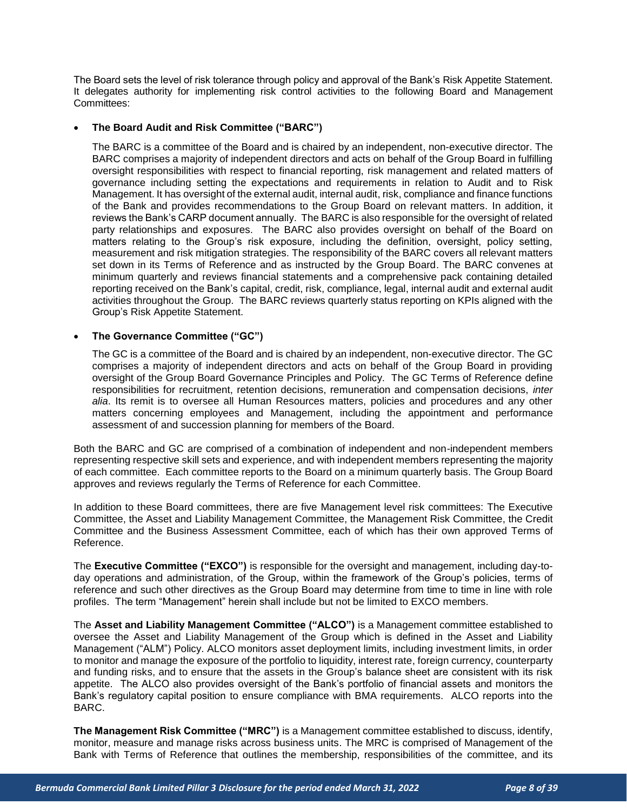The Board sets the level of risk tolerance through policy and approval of the Bank's Risk Appetite Statement. It delegates authority for implementing risk control activities to the following Board and Management Committees:

#### • **The Board Audit and Risk Committee ("BARC")**

The BARC is a committee of the Board and is chaired by an independent, non-executive director. The BARC comprises a majority of independent directors and acts on behalf of the Group Board in fulfilling oversight responsibilities with respect to financial reporting, risk management and related matters of governance including setting the expectations and requirements in relation to Audit and to Risk Management. It has oversight of the external audit, internal audit, risk, compliance and finance functions of the Bank and provides recommendations to the Group Board on relevant matters. In addition, it reviews the Bank's CARP document annually. The BARC is also responsible for the oversight of related party relationships and exposures. The BARC also provides oversight on behalf of the Board on matters relating to the Group's risk exposure, including the definition, oversight, policy setting, measurement and risk mitigation strategies. The responsibility of the BARC covers all relevant matters set down in its Terms of Reference and as instructed by the Group Board. The BARC convenes at minimum quarterly and reviews financial statements and a comprehensive pack containing detailed reporting received on the Bank's capital, credit, risk, compliance, legal, internal audit and external audit activities throughout the Group. The BARC reviews quarterly status reporting on KPIs aligned with the Group's Risk Appetite Statement.

#### • **The Governance Committee ("GC")**

The GC is a committee of the Board and is chaired by an independent, non-executive director. The GC comprises a majority of independent directors and acts on behalf of the Group Board in providing oversight of the Group Board Governance Principles and Policy. The GC Terms of Reference define responsibilities for recruitment, retention decisions, remuneration and compensation decisions, *inter alia*. Its remit is to oversee all Human Resources matters, policies and procedures and any other matters concerning employees and Management, including the appointment and performance assessment of and succession planning for members of the Board.

Both the BARC and GC are comprised of a combination of independent and non-independent members representing respective skill sets and experience, and with independent members representing the majority of each committee. Each committee reports to the Board on a minimum quarterly basis. The Group Board approves and reviews regularly the Terms of Reference for each Committee.

In addition to these Board committees, there are five Management level risk committees: The Executive Committee, the Asset and Liability Management Committee, the Management Risk Committee, the Credit Committee and the Business Assessment Committee, each of which has their own approved Terms of Reference.

The **Executive Committee ("EXCO")** is responsible for the oversight and management, including day-today operations and administration, of the Group, within the framework of the Group's policies, terms of reference and such other directives as the Group Board may determine from time to time in line with role profiles. The term "Management" herein shall include but not be limited to EXCO members.

The **Asset and Liability Management Committee ("ALCO")** is a Management committee established to oversee the Asset and Liability Management of the Group which is defined in the Asset and Liability Management ("ALM") Policy. ALCO monitors asset deployment limits, including investment limits, in order to monitor and manage the exposure of the portfolio to liquidity, interest rate, foreign currency, counterparty and funding risks, and to ensure that the assets in the Group's balance sheet are consistent with its risk appetite. The ALCO also provides oversight of the Bank's portfolio of financial assets and monitors the Bank's regulatory capital position to ensure compliance with BMA requirements. ALCO reports into the BARC.

**The Management Risk Committee ("MRC")** is a Management committee established to discuss, identify, monitor, measure and manage risks across business units. The MRC is comprised of Management of the Bank with Terms of Reference that outlines the membership, responsibilities of the committee, and its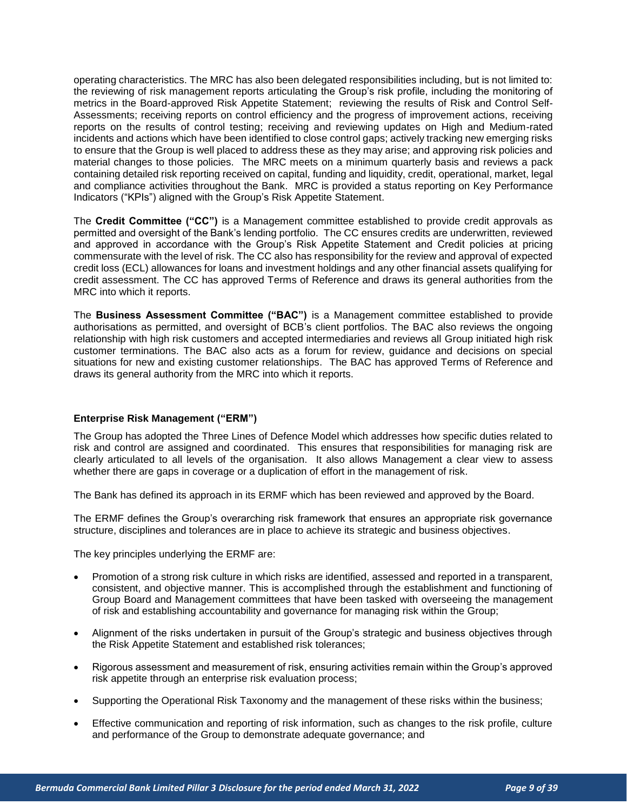operating characteristics. The MRC has also been delegated responsibilities including, but is not limited to: the reviewing of risk management reports articulating the Group's risk profile, including the monitoring of metrics in the Board-approved Risk Appetite Statement; reviewing the results of Risk and Control Self-Assessments; receiving reports on control efficiency and the progress of improvement actions, receiving reports on the results of control testing; receiving and reviewing updates on High and Medium-rated incidents and actions which have been identified to close control gaps; actively tracking new emerging risks to ensure that the Group is well placed to address these as they may arise; and approving risk policies and material changes to those policies. The MRC meets on a minimum quarterly basis and reviews a pack containing detailed risk reporting received on capital, funding and liquidity, credit, operational, market, legal and compliance activities throughout the Bank. MRC is provided a status reporting on Key Performance Indicators ("KPIs") aligned with the Group's Risk Appetite Statement.

The **Credit Committee ("CC")** is a Management committee established to provide credit approvals as permitted and oversight of the Bank's lending portfolio. The CC ensures credits are underwritten, reviewed and approved in accordance with the Group's Risk Appetite Statement and Credit policies at pricing commensurate with the level of risk. The CC also has responsibility for the review and approval of expected credit loss (ECL) allowances for loans and investment holdings and any other financial assets qualifying for credit assessment. The CC has approved Terms of Reference and draws its general authorities from the MRC into which it reports.

The **Business Assessment Committee ("BAC")** is a Management committee established to provide authorisations as permitted, and oversight of BCB's client portfolios. The BAC also reviews the ongoing relationship with high risk customers and accepted intermediaries and reviews all Group initiated high risk customer terminations. The BAC also acts as a forum for review, guidance and decisions on special situations for new and existing customer relationships. The BAC has approved Terms of Reference and draws its general authority from the MRC into which it reports.

#### <span id="page-8-0"></span>**Enterprise Risk Management ("ERM")**

The Group has adopted the Three Lines of Defence Model which addresses how specific duties related to risk and control are assigned and coordinated. This ensures that responsibilities for managing risk are clearly articulated to all levels of the organisation. It also allows Management a clear view to assess whether there are gaps in coverage or a duplication of effort in the management of risk.

The Bank has defined its approach in its ERMF which has been reviewed and approved by the Board.

The ERMF defines the Group's overarching risk framework that ensures an appropriate risk governance structure, disciplines and tolerances are in place to achieve its strategic and business objectives.

The key principles underlying the ERMF are:

- Promotion of a strong risk culture in which risks are identified, assessed and reported in a transparent, consistent, and objective manner. This is accomplished through the establishment and functioning of Group Board and Management committees that have been tasked with overseeing the management of risk and establishing accountability and governance for managing risk within the Group;
- Alignment of the risks undertaken in pursuit of the Group's strategic and business objectives through the Risk Appetite Statement and established risk tolerances;
- Rigorous assessment and measurement of risk, ensuring activities remain within the Group's approved risk appetite through an enterprise risk evaluation process;
- Supporting the Operational Risk Taxonomy and the management of these risks within the business;
- Effective communication and reporting of risk information, such as changes to the risk profile, culture and performance of the Group to demonstrate adequate governance; and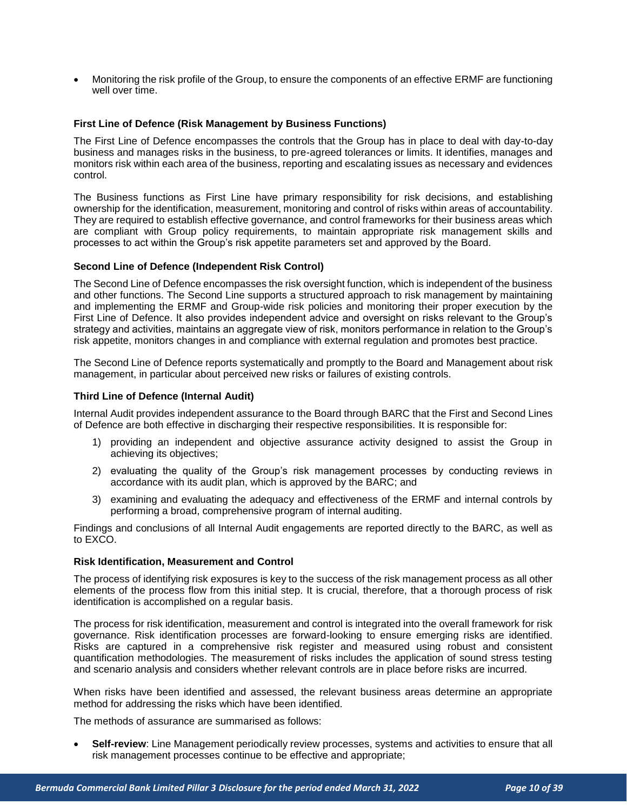• Monitoring the risk profile of the Group, to ensure the components of an effective ERMF are functioning well over time.

#### <span id="page-9-0"></span>**First Line of Defence (Risk Management by Business Functions)**

The First Line of Defence encompasses the controls that the Group has in place to deal with day-to-day business and manages risks in the business, to pre-agreed tolerances or limits. It identifies, manages and monitors risk within each area of the business, reporting and escalating issues as necessary and evidences control.

The Business functions as First Line have primary responsibility for risk decisions, and establishing ownership for the identification, measurement, monitoring and control of risks within areas of accountability. They are required to establish effective governance, and control frameworks for their business areas which are compliant with Group policy requirements, to maintain appropriate risk management skills and processes to act within the Group's risk appetite parameters set and approved by the Board.

#### <span id="page-9-1"></span>**Second Line of Defence (Independent Risk Control)**

The Second Line of Defence encompasses the risk oversight function, which is independent of the business and other functions. The Second Line supports a structured approach to risk management by maintaining and implementing the ERMF and Group-wide risk policies and monitoring their proper execution by the First Line of Defence. It also provides independent advice and oversight on risks relevant to the Group's strategy and activities, maintains an aggregate view of risk, monitors performance in relation to the Group's risk appetite, monitors changes in and compliance with external regulation and promotes best practice.

The Second Line of Defence reports systematically and promptly to the Board and Management about risk management, in particular about perceived new risks or failures of existing controls.

#### <span id="page-9-2"></span>**Third Line of Defence (Internal Audit)**

Internal Audit provides independent assurance to the Board through BARC that the First and Second Lines of Defence are both effective in discharging their respective responsibilities. It is responsible for:

- 1) providing an independent and objective assurance activity designed to assist the Group in achieving its objectives;
- 2) evaluating the quality of the Group's risk management processes by conducting reviews in accordance with its audit plan, which is approved by the BARC; and
- 3) examining and evaluating the adequacy and effectiveness of the ERMF and internal controls by performing a broad, comprehensive program of internal auditing.

Findings and conclusions of all Internal Audit engagements are reported directly to the BARC, as well as to EXCO.

#### <span id="page-9-3"></span>**Risk Identification, Measurement and Control**

The process of identifying risk exposures is key to the success of the risk management process as all other elements of the process flow from this initial step. It is crucial, therefore, that a thorough process of risk identification is accomplished on a regular basis.

The process for risk identification, measurement and control is integrated into the overall framework for risk governance. Risk identification processes are forward-looking to ensure emerging risks are identified. Risks are captured in a comprehensive risk register and measured using robust and consistent quantification methodologies. The measurement of risks includes the application of sound stress testing and scenario analysis and considers whether relevant controls are in place before risks are incurred.

When risks have been identified and assessed, the relevant business areas determine an appropriate method for addressing the risks which have been identified.

The methods of assurance are summarised as follows:

• **Self-review**: Line Management periodically review processes, systems and activities to ensure that all risk management processes continue to be effective and appropriate;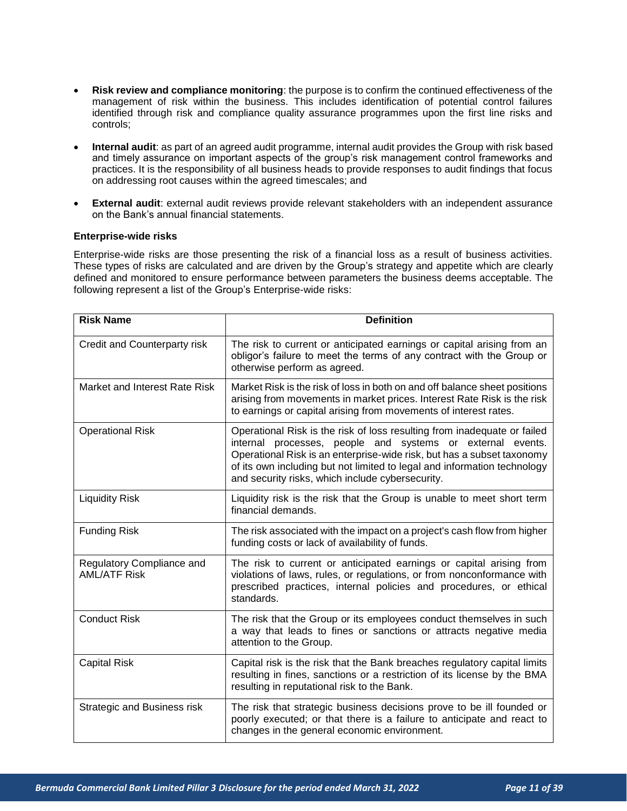- **Risk review and compliance monitoring**: the purpose is to confirm the continued effectiveness of the management of risk within the business. This includes identification of potential control failures identified through risk and compliance quality assurance programmes upon the first line risks and controls;
- **Internal audit**: as part of an agreed audit programme, internal audit provides the Group with risk based and timely assurance on important aspects of the group's risk management control frameworks and practices. It is the responsibility of all business heads to provide responses to audit findings that focus on addressing root causes within the agreed timescales; and
- **External audit**: external audit reviews provide relevant stakeholders with an independent assurance on the Bank's annual financial statements.

#### <span id="page-10-0"></span>**Enterprise-wide risks**

Enterprise-wide risks are those presenting the risk of a financial loss as a result of business activities. These types of risks are calculated and are driven by the Group's strategy and appetite which are clearly defined and monitored to ensure performance between parameters the business deems acceptable. The following represent a list of the Group's Enterprise-wide risks:

| <b>Risk Name</b>                                 | <b>Definition</b>                                                                                                                                                                                                                                                                                                                                |
|--------------------------------------------------|--------------------------------------------------------------------------------------------------------------------------------------------------------------------------------------------------------------------------------------------------------------------------------------------------------------------------------------------------|
| Credit and Counterparty risk                     | The risk to current or anticipated earnings or capital arising from an<br>obligor's failure to meet the terms of any contract with the Group or<br>otherwise perform as agreed.                                                                                                                                                                  |
| Market and Interest Rate Risk                    | Market Risk is the risk of loss in both on and off balance sheet positions<br>arising from movements in market prices. Interest Rate Risk is the risk<br>to earnings or capital arising from movements of interest rates.                                                                                                                        |
| <b>Operational Risk</b>                          | Operational Risk is the risk of loss resulting from inadequate or failed<br>internal processes, people and systems or external events.<br>Operational Risk is an enterprise-wide risk, but has a subset taxonomy<br>of its own including but not limited to legal and information technology<br>and security risks, which include cybersecurity. |
| <b>Liquidity Risk</b>                            | Liquidity risk is the risk that the Group is unable to meet short term<br>financial demands.                                                                                                                                                                                                                                                     |
| <b>Funding Risk</b>                              | The risk associated with the impact on a project's cash flow from higher<br>funding costs or lack of availability of funds.                                                                                                                                                                                                                      |
| Regulatory Compliance and<br><b>AML/ATF Risk</b> | The risk to current or anticipated earnings or capital arising from<br>violations of laws, rules, or regulations, or from nonconformance with<br>prescribed practices, internal policies and procedures, or ethical<br>standards.                                                                                                                |
| <b>Conduct Risk</b>                              | The risk that the Group or its employees conduct themselves in such<br>a way that leads to fines or sanctions or attracts negative media<br>attention to the Group.                                                                                                                                                                              |
| <b>Capital Risk</b>                              | Capital risk is the risk that the Bank breaches regulatory capital limits<br>resulting in fines, sanctions or a restriction of its license by the BMA<br>resulting in reputational risk to the Bank.                                                                                                                                             |
| Strategic and Business risk                      | The risk that strategic business decisions prove to be ill founded or<br>poorly executed; or that there is a failure to anticipate and react to<br>changes in the general economic environment.                                                                                                                                                  |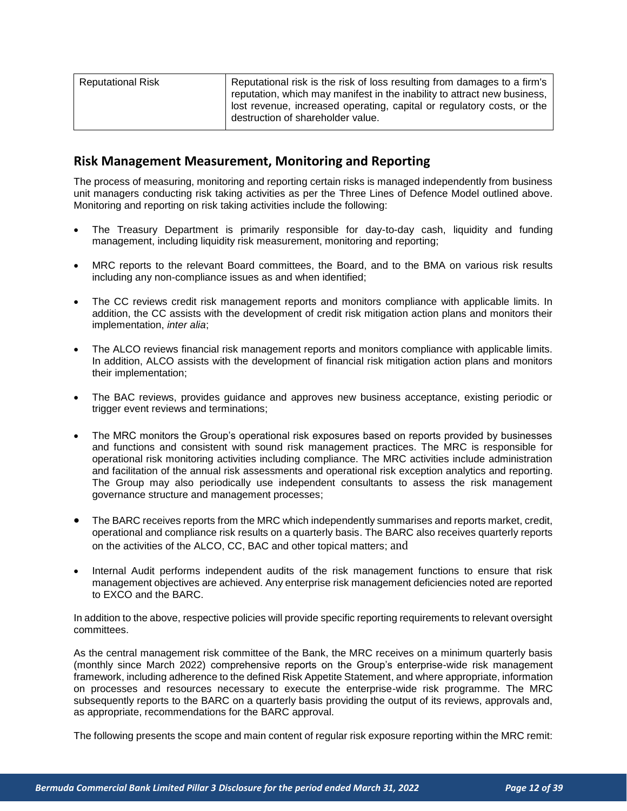| Reputational Risk | Reputational risk is the risk of loss resulting from damages to a firm's<br>reputation, which may manifest in the inability to attract new business, |
|-------------------|------------------------------------------------------------------------------------------------------------------------------------------------------|
|                   | lost revenue, increased operating, capital or regulatory costs, or the<br>destruction of shareholder value.                                          |

# <span id="page-11-0"></span>**Risk Management Measurement, Monitoring and Reporting**

The process of measuring, monitoring and reporting certain risks is managed independently from business unit managers conducting risk taking activities as per the Three Lines of Defence Model outlined above. Monitoring and reporting on risk taking activities include the following:

- The Treasury Department is primarily responsible for day-to-day cash, liquidity and funding management, including liquidity risk measurement, monitoring and reporting;
- MRC reports to the relevant Board committees, the Board, and to the BMA on various risk results including any non-compliance issues as and when identified;
- The CC reviews credit risk management reports and monitors compliance with applicable limits. In addition, the CC assists with the development of credit risk mitigation action plans and monitors their implementation, *inter alia*;
- The ALCO reviews financial risk management reports and monitors compliance with applicable limits. In addition, ALCO assists with the development of financial risk mitigation action plans and monitors their implementation;
- The BAC reviews, provides guidance and approves new business acceptance, existing periodic or trigger event reviews and terminations;
- The MRC monitors the Group's operational risk exposures based on reports provided by businesses and functions and consistent with sound risk management practices. The MRC is responsible for operational risk monitoring activities including compliance. The MRC activities include administration and facilitation of the annual risk assessments and operational risk exception analytics and reporting. The Group may also periodically use independent consultants to assess the risk management governance structure and management processes;
- The BARC receives reports from the MRC which independently summarises and reports market, credit, operational and compliance risk results on a quarterly basis. The BARC also receives quarterly reports on the activities of the ALCO, CC, BAC and other topical matters; and
- Internal Audit performs independent audits of the risk management functions to ensure that risk management objectives are achieved. Any enterprise risk management deficiencies noted are reported to EXCO and the BARC.

In addition to the above, respective policies will provide specific reporting requirements to relevant oversight committees.

As the central management risk committee of the Bank, the MRC receives on a minimum quarterly basis (monthly since March 2022) comprehensive reports on the Group's enterprise-wide risk management framework, including adherence to the defined Risk Appetite Statement, and where appropriate, information on processes and resources necessary to execute the enterprise-wide risk programme. The MRC subsequently reports to the BARC on a quarterly basis providing the output of its reviews, approvals and, as appropriate, recommendations for the BARC approval.

The following presents the scope and main content of regular risk exposure reporting within the MRC remit: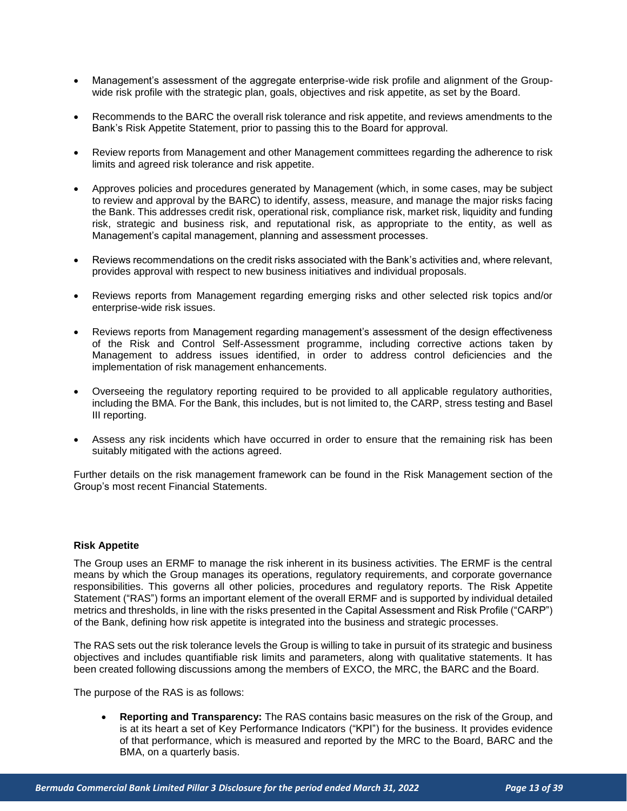- Management's assessment of the aggregate enterprise-wide risk profile and alignment of the Groupwide risk profile with the strategic plan, goals, objectives and risk appetite, as set by the Board.
- Recommends to the BARC the overall risk tolerance and risk appetite, and reviews amendments to the Bank's Risk Appetite Statement, prior to passing this to the Board for approval.
- Review reports from Management and other Management committees regarding the adherence to risk limits and agreed risk tolerance and risk appetite.
- Approves policies and procedures generated by Management (which, in some cases, may be subject to review and approval by the BARC) to identify, assess, measure, and manage the major risks facing the Bank. This addresses credit risk, operational risk, compliance risk, market risk, liquidity and funding risk, strategic and business risk, and reputational risk, as appropriate to the entity, as well as Management's capital management, planning and assessment processes.
- Reviews recommendations on the credit risks associated with the Bank's activities and, where relevant, provides approval with respect to new business initiatives and individual proposals.
- Reviews reports from Management regarding emerging risks and other selected risk topics and/or enterprise-wide risk issues.
- Reviews reports from Management regarding management's assessment of the design effectiveness of the Risk and Control Self-Assessment programme, including corrective actions taken by Management to address issues identified, in order to address control deficiencies and the implementation of risk management enhancements.
- Overseeing the regulatory reporting required to be provided to all applicable regulatory authorities, including the BMA. For the Bank, this includes, but is not limited to, the CARP, stress testing and Basel III reporting.
- Assess any risk incidents which have occurred in order to ensure that the remaining risk has been suitably mitigated with the actions agreed.

Further details on the risk management framework can be found in the Risk Management section of the Group's most recent Financial Statements.

#### <span id="page-12-0"></span>**Risk Appetite**

The Group uses an ERMF to manage the risk inherent in its business activities. The ERMF is the central means by which the Group manages its operations, regulatory requirements, and corporate governance responsibilities. This governs all other policies, procedures and regulatory reports. The Risk Appetite Statement ("RAS") forms an important element of the overall ERMF and is supported by individual detailed metrics and thresholds, in line with the risks presented in the Capital Assessment and Risk Profile ("CARP") of the Bank, defining how risk appetite is integrated into the business and strategic processes.

The RAS sets out the risk tolerance levels the Group is willing to take in pursuit of its strategic and business objectives and includes quantifiable risk limits and parameters, along with qualitative statements. It has been created following discussions among the members of EXCO, the MRC, the BARC and the Board.

The purpose of the RAS is as follows:

• **Reporting and Transparency:** The RAS contains basic measures on the risk of the Group, and is at its heart a set of Key Performance Indicators ("KPI") for the business. It provides evidence of that performance, which is measured and reported by the MRC to the Board, BARC and the BMA, on a quarterly basis.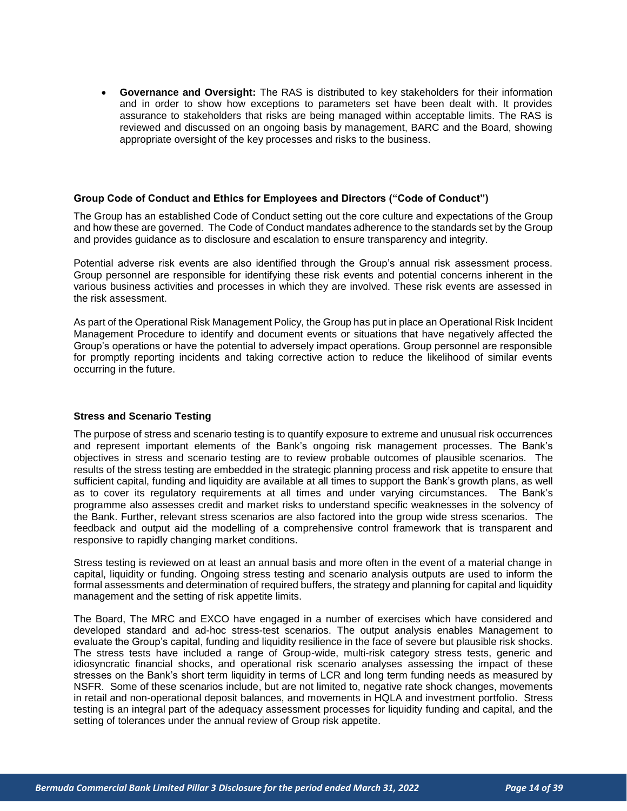• **Governance and Oversight:** The RAS is distributed to key stakeholders for their information and in order to show how exceptions to parameters set have been dealt with. It provides assurance to stakeholders that risks are being managed within acceptable limits. The RAS is reviewed and discussed on an ongoing basis by management, BARC and the Board, showing appropriate oversight of the key processes and risks to the business.

#### <span id="page-13-0"></span>**Group Code of Conduct and Ethics for Employees and Directors ("Code of Conduct")**

The Group has an established Code of Conduct setting out the core culture and expectations of the Group and how these are governed. The Code of Conduct mandates adherence to the standards set by the Group and provides guidance as to disclosure and escalation to ensure transparency and integrity.

Potential adverse risk events are also identified through the Group's annual risk assessment process. Group personnel are responsible for identifying these risk events and potential concerns inherent in the various business activities and processes in which they are involved. These risk events are assessed in the risk assessment.

As part of the Operational Risk Management Policy, the Group has put in place an Operational Risk Incident Management Procedure to identify and document events or situations that have negatively affected the Group's operations or have the potential to adversely impact operations. Group personnel are responsible for promptly reporting incidents and taking corrective action to reduce the likelihood of similar events occurring in the future.

#### <span id="page-13-1"></span>**Stress and Scenario Testing**

The purpose of stress and scenario testing is to quantify exposure to extreme and unusual risk occurrences and represent important elements of the Bank's ongoing risk management processes. The Bank's objectives in stress and scenario testing are to review probable outcomes of plausible scenarios. The results of the stress testing are embedded in the strategic planning process and risk appetite to ensure that sufficient capital, funding and liquidity are available at all times to support the Bank's growth plans, as well as to cover its regulatory requirements at all times and under varying circumstances. The Bank's programme also assesses credit and market risks to understand specific weaknesses in the solvency of the Bank. Further, relevant stress scenarios are also factored into the group wide stress scenarios. The feedback and output aid the modelling of a comprehensive control framework that is transparent and responsive to rapidly changing market conditions.

Stress testing is reviewed on at least an annual basis and more often in the event of a material change in capital, liquidity or funding. Ongoing stress testing and scenario analysis outputs are used to inform the formal assessments and determination of required buffers, the strategy and planning for capital and liquidity management and the setting of risk appetite limits.

The Board, The MRC and EXCO have engaged in a number of exercises which have considered and developed standard and ad-hoc stress-test scenarios. The output analysis enables Management to evaluate the Group's capital, funding and liquidity resilience in the face of severe but plausible risk shocks. The stress tests have included a range of Group-wide, multi-risk category stress tests, generic and idiosyncratic financial shocks, and operational risk scenario analyses assessing the impact of these stresses on the Bank's short term liquidity in terms of LCR and long term funding needs as measured by NSFR. Some of these scenarios include, but are not limited to, negative rate shock changes, movements in retail and non-operational deposit balances, and movements in HQLA and investment portfolio. Stress testing is an integral part of the adequacy assessment processes for liquidity funding and capital, and the setting of tolerances under the annual review of Group risk appetite.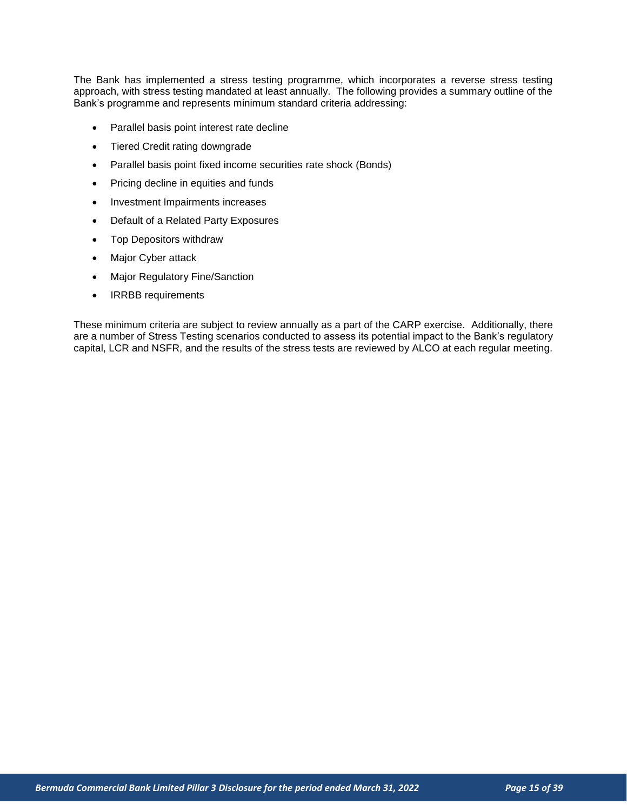The Bank has implemented a stress testing programme, which incorporates a reverse stress testing approach, with stress testing mandated at least annually. The following provides a summary outline of the Bank's programme and represents minimum standard criteria addressing:

- Parallel basis point interest rate decline
- Tiered Credit rating downgrade
- Parallel basis point fixed income securities rate shock (Bonds)
- Pricing decline in equities and funds
- Investment Impairments increases
- Default of a Related Party Exposures
- Top Depositors withdraw
- Major Cyber attack
- Major Regulatory Fine/Sanction
- IRRBB requirements

These minimum criteria are subject to review annually as a part of the CARP exercise. Additionally, there are a number of Stress Testing scenarios conducted to assess its potential impact to the Bank's regulatory capital, LCR and NSFR, and the results of the stress tests are reviewed by ALCO at each regular meeting.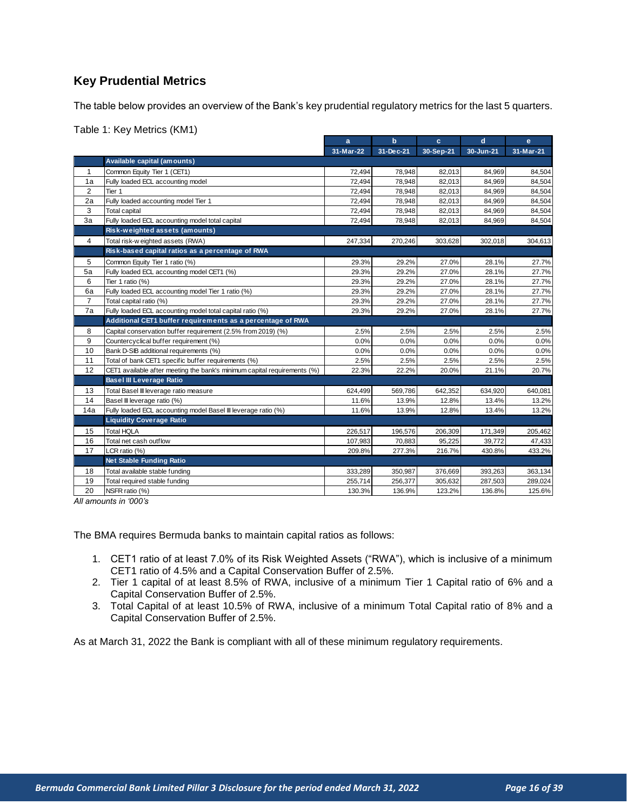# <span id="page-15-0"></span>**Key Prudential Metrics**

The table below provides an overview of the Bank's key prudential regulatory metrics for the last 5 quarters.

Table 1: Key Metrics (KM1)

|                |                                                                          | a         | $\mathbf b$ | c.        | $\mathbf d$ | e         |
|----------------|--------------------------------------------------------------------------|-----------|-------------|-----------|-------------|-----------|
|                |                                                                          | 31-Mar-22 | 31-Dec-21   | 30-Sep-21 | 30-Jun-21   | 31-Mar-21 |
|                | Available capital (amounts)                                              |           |             |           |             |           |
| $\mathbf{1}$   | Common Equity Tier 1 (CET1)                                              | 72,494    | 78,948      | 82,013    | 84,969      | 84,504    |
| 1a             | Fully loaded ECL accounting model                                        | 72,494    | 78,948      | 82,013    | 84,969      | 84,504    |
| 2              | Tier 1                                                                   | 72,494    | 78,948      | 82,013    | 84,969      | 84,504    |
| 2a             | Fully loaded accounting model Tier 1                                     | 72,494    | 78,948      | 82,013    | 84,969      | 84,504    |
| 3              | <b>Total capital</b>                                                     | 72,494    | 78,948      | 82,013    | 84,969      | 84,504    |
| 3a             | Fully loaded ECL accounting model total capital                          | 72,494    | 78,948      | 82,013    | 84,969      | 84,504    |
|                | Risk-weighted assets (amounts)                                           |           |             |           |             |           |
| $\overline{4}$ | Total risk-w eighted assets (RWA)                                        | 247,334   | 270,246     | 303,628   | 302,018     | 304,613   |
|                | Risk-based capital ratios as a percentage of RWA                         |           |             |           |             |           |
| 5              | Common Equity Tier 1 ratio (%)                                           | 29.3%     | 29.2%       | 27.0%     | 28.1%       | 27.7%     |
| 5a             | Fully loaded ECL accounting model CET1 (%)                               | 29.3%     | 29.2%       | 27.0%     | 28.1%       | 27.7%     |
| 6              | Tier 1 ratio (%)                                                         | 29.3%     | 29.2%       | 27.0%     | 28.1%       | 27.7%     |
| 6a             | Fully loaded ECL accounting model Tier 1 ratio (%)                       | 29.3%     | 29.2%       | 27.0%     | 28.1%       | 27.7%     |
| $\overline{7}$ | Total capital ratio (%)                                                  | 29.3%     | 29.2%       | 27.0%     | 28.1%       | 27.7%     |
| 7a             | Fully loaded ECL accounting model total capital ratio (%)                | 29.3%     | 29.2%       | 27.0%     | 28.1%       | 27.7%     |
|                | Additional CET1 buffer requirements as a percentage of RWA               |           |             |           |             |           |
| 8              | Capital conservation buffer requirement (2.5% from 2019) (%)             | 2.5%      | 2.5%        | 2.5%      | 2.5%        | 2.5%      |
| 9              | Countercyclical buffer requirement (%)                                   | 0.0%      | 0.0%        | 0.0%      | 0.0%        | 0.0%      |
| 10             | Bank D-SIB additional requirements (%)                                   | 0.0%      | 0.0%        | $0.0\%$   | 0.0%        | 0.0%      |
| 11             | Total of bank CET1 specific buffer requirements (%)                      | 2.5%      | 2.5%        | 2.5%      | 2.5%        | 2.5%      |
| 12             | CET1 available after meeting the bank's minimum capital requirements (%) | 22.3%     | 22.2%       | 20.0%     | 21.1%       | 20.7%     |
|                | <b>Basel III Leverage Ratio</b>                                          |           |             |           |             |           |
| 13             | Total Basel III leverage ratio measure                                   | 624,499   | 569,786     | 642,352   | 634,920     | 640,081   |
| 14             | Basel III leverage ratio (%)                                             | 11.6%     | 13.9%       | 12.8%     | 13.4%       | 13.2%     |
| 14a            | Fully loaded ECL accounting model Basel III leverage ratio (%)           | 11.6%     | 13.9%       | 12.8%     | 13.4%       | 13.2%     |
|                | <b>Liquidity Coverage Ratio</b>                                          |           |             |           |             |           |
| 15             | <b>Total HQLA</b>                                                        | 226,517   | 196,576     | 206,309   | 171,349     | 205,462   |
| 16             | Total net cash outflow                                                   | 107,983   | 70,883      | 95,225    | 39.772      | 47,433    |
| 17             | LCR ratio (%)                                                            | 209.8%    | 277.3%      | 216.7%    | 430.8%      | 433.2%    |
|                | <b>Net Stable Funding Ratio</b>                                          |           |             |           |             |           |
| 18             | Total available stable funding                                           | 333,289   | 350,987     | 376,669   | 393,263     | 363,134   |
| 19             | Total required stable funding                                            | 255,714   | 256,377     | 305,632   | 287,503     | 289,024   |
| 20             | NSFR ratio (%)                                                           | 130.3%    | 136.9%      | 123.2%    | 136.8%      | 125.6%    |
|                | All amounts in '000's                                                    |           |             |           |             |           |

*All amounts in '000's*

The BMA requires Bermuda banks to maintain capital ratios as follows:

- 1. CET1 ratio of at least 7.0% of its Risk Weighted Assets ("RWA"), which is inclusive of a minimum CET1 ratio of 4.5% and a Capital Conservation Buffer of 2.5%.
- 2. Tier 1 capital of at least 8.5% of RWA, inclusive of a minimum Tier 1 Capital ratio of 6% and a Capital Conservation Buffer of 2.5%.
- 3. Total Capital of at least 10.5% of RWA, inclusive of a minimum Total Capital ratio of 8% and a Capital Conservation Buffer of 2.5%.

As at March 31, 2022 the Bank is compliant with all of these minimum regulatory requirements.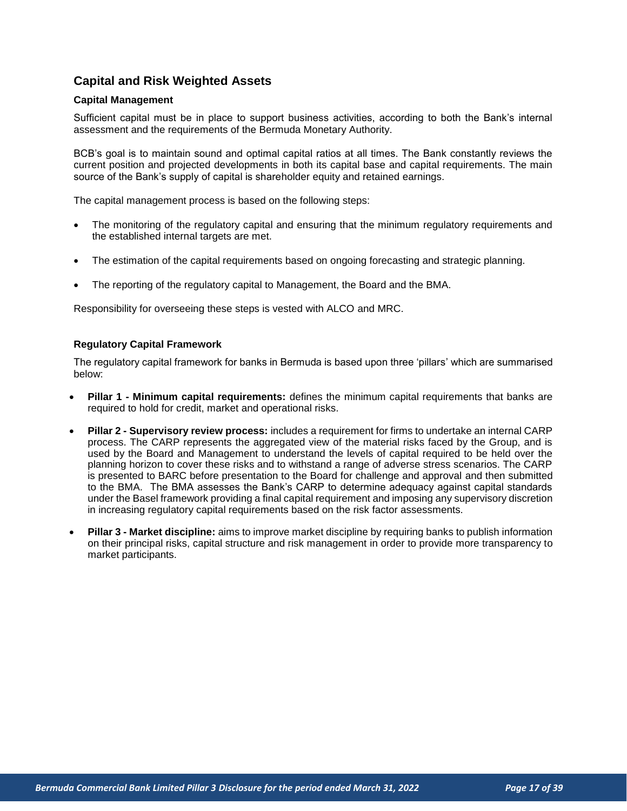# <span id="page-16-0"></span>**Capital and Risk Weighted Assets**

#### <span id="page-16-1"></span>**Capital Management**

Sufficient capital must be in place to support business activities, according to both the Bank's internal assessment and the requirements of the Bermuda Monetary Authority.

BCB's goal is to maintain sound and optimal capital ratios at all times. The Bank constantly reviews the current position and projected developments in both its capital base and capital requirements. The main source of the Bank's supply of capital is shareholder equity and retained earnings.

The capital management process is based on the following steps:

- The monitoring of the regulatory capital and ensuring that the minimum regulatory requirements and the established internal targets are met.
- The estimation of the capital requirements based on ongoing forecasting and strategic planning.
- The reporting of the regulatory capital to Management, the Board and the BMA.

Responsibility for overseeing these steps is vested with ALCO and MRC.

#### <span id="page-16-2"></span>**Regulatory Capital Framework**

The regulatory capital framework for banks in Bermuda is based upon three 'pillars' which are summarised below:

- **Pillar 1 - Minimum capital requirements:** defines the minimum capital requirements that banks are required to hold for credit, market and operational risks.
- **Pillar 2 - Supervisory review process:** includes a requirement for firms to undertake an internal CARP process. The CARP represents the aggregated view of the material risks faced by the Group, and is used by the Board and Management to understand the levels of capital required to be held over the planning horizon to cover these risks and to withstand a range of adverse stress scenarios. The CARP is presented to BARC before presentation to the Board for challenge and approval and then submitted to the BMA. The BMA assesses the Bank's CARP to determine adequacy against capital standards under the Basel framework providing a final capital requirement and imposing any supervisory discretion in increasing regulatory capital requirements based on the risk factor assessments.
- **Pillar 3 - Market discipline:** aims to improve market discipline by requiring banks to publish information on their principal risks, capital structure and risk management in order to provide more transparency to market participants.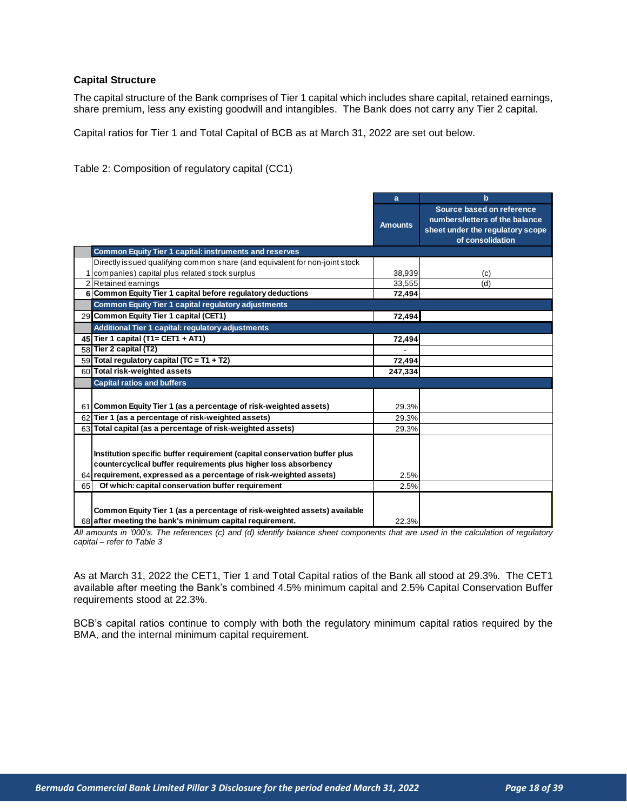#### <span id="page-17-0"></span>**Capital Structure**

The capital structure of the Bank comprises of Tier 1 capital which includes share capital, retained earnings, share premium, less any existing goodwill and intangibles. The Bank does not carry any Tier 2 capital.

Capital ratios for Tier 1 and Total Capital of BCB as at March 31, 2022 are set out below.

Table 2: Composition of regulatory capital (CC1)

|                                                                                                                                                                                                | a              | $\mathbf b$                                                                                                         |
|------------------------------------------------------------------------------------------------------------------------------------------------------------------------------------------------|----------------|---------------------------------------------------------------------------------------------------------------------|
|                                                                                                                                                                                                | <b>Amounts</b> | Source based on reference<br>numbers/letters of the balance<br>sheet under the regulatory scope<br>of consolidation |
| <b>Common Equity Tier 1 capital: instruments and reserves</b>                                                                                                                                  |                |                                                                                                                     |
| Directly issued qualifying common share (and equivalent for non-joint stock                                                                                                                    |                |                                                                                                                     |
| 1 companies) capital plus related stock surplus                                                                                                                                                | 38,939         | (c)                                                                                                                 |
| 2 Retained earnings                                                                                                                                                                            | 33,555         | (d)                                                                                                                 |
| 6 Common Equity Tier 1 capital before regulatory deductions                                                                                                                                    | 72,494         |                                                                                                                     |
| Common Equity Tier 1 capital regulatory adjustments                                                                                                                                            |                |                                                                                                                     |
| 29 Common Equity Tier 1 capital (CET1)                                                                                                                                                         | 72,494         |                                                                                                                     |
| Additional Tier 1 capital: regulatory adjustments                                                                                                                                              |                |                                                                                                                     |
| 45 Tier 1 capital (T1= CET1 + AT1)                                                                                                                                                             | 72,494         |                                                                                                                     |
| 58 Tier 2 capital (T2)                                                                                                                                                                         |                |                                                                                                                     |
| 59 Total regulatory capital (TC = T1 + T2)                                                                                                                                                     | 72,494         |                                                                                                                     |
| 60 Total risk-weighted assets                                                                                                                                                                  | 247,334        |                                                                                                                     |
| <b>Capital ratios and buffers</b>                                                                                                                                                              |                |                                                                                                                     |
|                                                                                                                                                                                                |                |                                                                                                                     |
| 61 Common Equity Tier 1 (as a percentage of risk-weighted assets)                                                                                                                              | 29.3%          |                                                                                                                     |
| 62 Tier 1 (as a percentage of risk-weighted assets)                                                                                                                                            | 29.3%          |                                                                                                                     |
| 63 Total capital (as a percentage of risk-weighted assets)                                                                                                                                     | 29.3%          |                                                                                                                     |
|                                                                                                                                                                                                |                |                                                                                                                     |
| Institution specific buffer requirement (capital conservation buffer plus                                                                                                                      |                |                                                                                                                     |
| countercyclical buffer requirements plus higher loss absorbency                                                                                                                                |                |                                                                                                                     |
| 64 requirement, expressed as a percentage of risk-weighted assets)                                                                                                                             | 2.5%           |                                                                                                                     |
| Of which: capital conservation buffer requirement<br>65                                                                                                                                        | 2.5%           |                                                                                                                     |
|                                                                                                                                                                                                |                |                                                                                                                     |
|                                                                                                                                                                                                |                |                                                                                                                     |
| Common Equity Tier 1 (as a percentage of risk-weighted assets) available                                                                                                                       |                |                                                                                                                     |
| 68 after meeting the bank's minimum capital requirement.<br>All amounts in '000's. The references (c) and (d) identify balance sheet components that are used in the calculation of regulatory | 22.3%          |                                                                                                                     |

*All amounts in '000's. The references (c) and (d) identify balance sheet components that are used in the calculation of regulatory capital – refer to Table 3*

As at March 31, 2022 the CET1, Tier 1 and Total Capital ratios of the Bank all stood at 29.3%. The CET1 available after meeting the Bank's combined 4.5% minimum capital and 2.5% Capital Conservation Buffer requirements stood at 22.3%.

BCB's capital ratios continue to comply with both the regulatory minimum capital ratios required by the BMA, and the internal minimum capital requirement.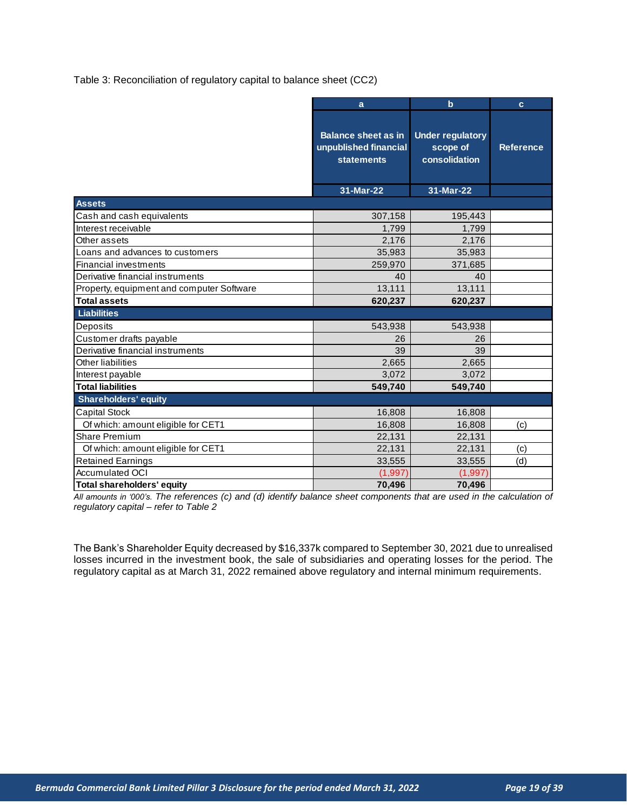Table 3: Reconciliation of regulatory capital to balance sheet (CC2)

|                                           | a                                                                        | $\mathbf b$                                          | $\mathbf{c}$     |
|-------------------------------------------|--------------------------------------------------------------------------|------------------------------------------------------|------------------|
|                                           | <b>Balance sheet as in</b><br>unpublished financial<br><b>statements</b> | <b>Under regulatory</b><br>scope of<br>consolidation | <b>Reference</b> |
|                                           | 31-Mar-22                                                                | 31-Mar-22                                            |                  |
| <b>Assets</b>                             |                                                                          |                                                      |                  |
| Cash and cash equivalents                 | 307,158                                                                  | 195,443                                              |                  |
| Interest receivable                       | 1,799                                                                    | 1,799                                                |                  |
| Other assets                              | 2.176                                                                    | 2,176                                                |                  |
| Loans and advances to customers           | 35,983                                                                   | 35,983                                               |                  |
| Financial investments                     | 259,970                                                                  | 371,685                                              |                  |
| Derivative financial instruments          | 40                                                                       | 40                                                   |                  |
| Property, equipment and computer Software | 13,111                                                                   | 13,111                                               |                  |
| <b>Total assets</b>                       | 620,237                                                                  | 620,237                                              |                  |
| Liabilities                               |                                                                          |                                                      |                  |
| Deposits                                  | 543,938                                                                  | 543,938                                              |                  |
| Customer drafts payable                   | 26                                                                       | 26                                                   |                  |
| Derivative financial instruments          | 39                                                                       | 39                                                   |                  |
| Other liabilities                         | 2,665                                                                    | 2,665                                                |                  |
| Interest payable                          | 3,072                                                                    | 3,072                                                |                  |
| <b>Total liabilities</b>                  | 549,740                                                                  | 549,740                                              |                  |
| <b>Shareholders' equity</b>               |                                                                          |                                                      |                  |
| <b>Capital Stock</b>                      | 16,808                                                                   | 16,808                                               |                  |
| Of which: amount eligible for CET1        | 16,808                                                                   | 16,808                                               | (c)              |
| <b>Share Premium</b>                      | 22,131                                                                   | 22,131                                               |                  |
| Of which: amount eligible for CET1        | 22,131                                                                   | 22,131                                               | (c)              |
| <b>Retained Earnings</b>                  | 33,555                                                                   | 33,555                                               | (d)              |
| <b>Accumulated OCI</b>                    | (1,997)                                                                  | (1,997)                                              |                  |
| <b>Total shareholders' equity</b>         | 70,496                                                                   | 70,496                                               |                  |

*All amounts in '000's. The references (c) and (d) identify balance sheet components that are used in the calculation of regulatory capital – refer to Table 2*

The Bank's Shareholder Equity decreased by \$16,337k compared to September 30, 2021 due to unrealised losses incurred in the investment book, the sale of subsidiaries and operating losses for the period. The regulatory capital as at March 31, 2022 remained above regulatory and internal minimum requirements.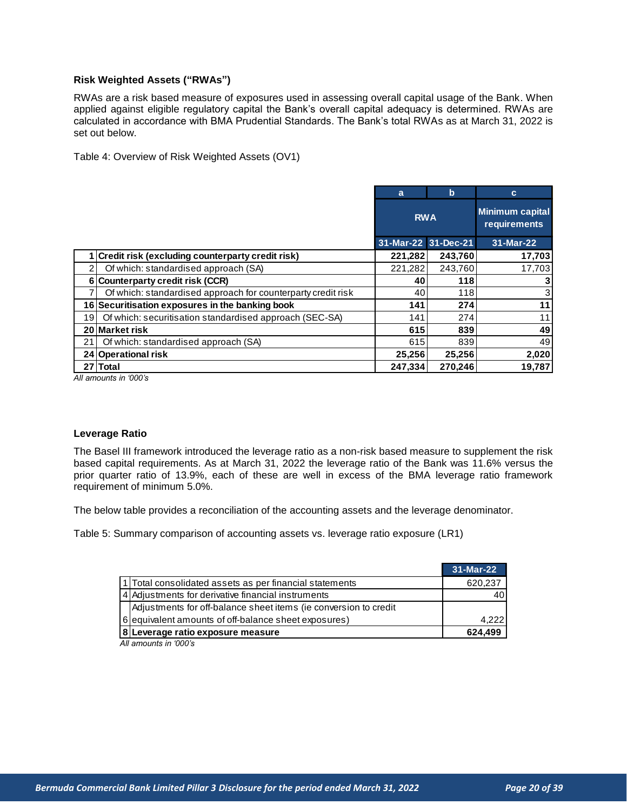#### <span id="page-19-0"></span>**Risk Weighted Assets ("RWAs")**

RWAs are a risk based measure of exposures used in assessing overall capital usage of the Bank. When applied against eligible regulatory capital the Bank's overall capital adequacy is determined. RWAs are calculated in accordance with BMA Prudential Standards. The Bank's total RWAs as at March 31, 2022 is set out below.

Table 4: Overview of Risk Weighted Assets (OV1)

|    |                                                              | a                   | b       | C                                      |
|----|--------------------------------------------------------------|---------------------|---------|----------------------------------------|
|    |                                                              | <b>RWA</b>          |         | <b>Minimum capital</b><br>requirements |
|    |                                                              | 31-Mar-22 31-Dec-21 |         | 31-Mar-22                              |
|    | <b>Credit risk (excluding counterparty credit risk)</b>      | 221,282             | 243,760 | 17,703                                 |
|    | Of which: standardised approach (SA)                         | 221,282             | 243,760 | 17,703                                 |
|    | 6 Counterparty credit risk (CCR)                             | 40                  | 118     |                                        |
|    | Of which: standardised approach for counterparty credit risk | 40                  | 118     | 3                                      |
|    | 16 Securitisation exposures in the banking book              | 141                 | 274     | 11                                     |
| 19 | Of which: securitisation standardised approach (SEC-SA)      | 141                 | 274     | 11                                     |
|    | 20 Market risk                                               | 615                 | 839     | 49                                     |
| 21 | Of which: standardised approach (SA)                         | 615                 | 839     | 49                                     |
|    | 24 Operational risk                                          | 25,256              | 25,256  | 2,020                                  |
| 27 | <b>Total</b>                                                 | 247,334             | 270,246 | 19,787                                 |
|    | All amounts in '000's                                        |                     |         |                                        |

*All amounts in '000's*

#### <span id="page-19-1"></span>**Leverage Ratio**

The Basel III framework introduced the leverage ratio as a non-risk based measure to supplement the risk based capital requirements. As at March 31, 2022 the leverage ratio of the Bank was 11.6% versus the prior quarter ratio of 13.9%, each of these are well in excess of the BMA leverage ratio framework requirement of minimum 5.0%.

The below table provides a reconciliation of the accounting assets and the leverage denominator.

Table 5: Summary comparison of accounting assets vs. leverage ratio exposure (LR1)

|                                                                  | 31-Mar-22 |
|------------------------------------------------------------------|-----------|
| 1 Total consolidated assets as per financial statements          | 620,237   |
| 4 Adjustments for derivative financial instruments               |           |
| Adjustments for off-balance sheet items (ie conversion to credit |           |
| 6 equivalent amounts of off-balance sheet exposures)             | 4.222     |
| 8 Leverage ratio exposure measure                                | 624.499   |

*All amounts in '000's*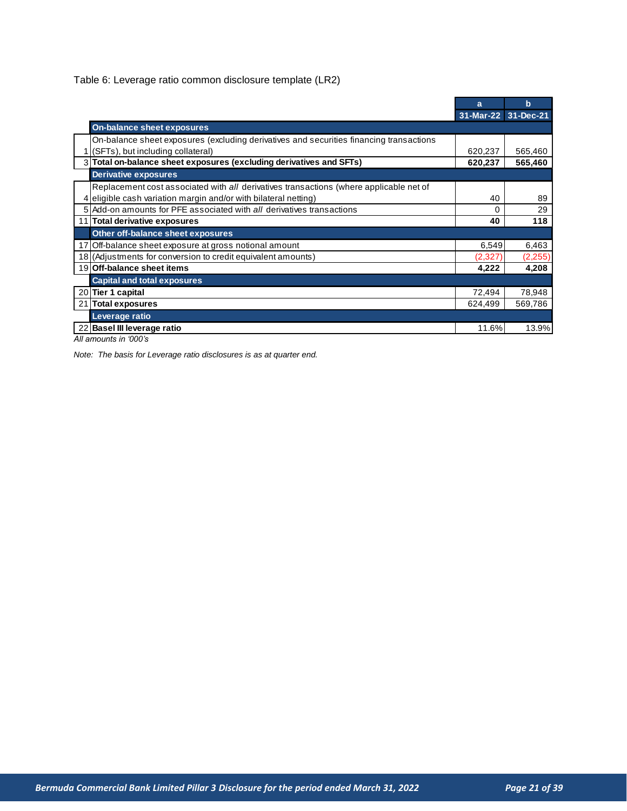Table 6: Leverage ratio common disclosure template (LR2)

|    |                                                                                         | a                   | $\mathbf b$ |
|----|-----------------------------------------------------------------------------------------|---------------------|-------------|
|    |                                                                                         | 31-Mar-22 31-Dec-21 |             |
|    | On-balance sheet exposures                                                              |                     |             |
|    | On-balance sheet exposures (excluding derivatives and securities financing transactions |                     |             |
|    | 1 (SFTs), but including collateral)                                                     | 620,237             | 565,460     |
|    | 3 Total on-balance sheet exposures (excluding derivatives and SFTs)                     | 620,237             | 565,460     |
|    | <b>Derivative exposures</b>                                                             |                     |             |
|    | Replacement cost associated with all derivatives transactions (where applicable net of  |                     |             |
|    | 4 eligible cash variation margin and/or with bilateral netting)                         | 40                  | 89          |
|    | 5 Add-on amounts for PFE associated with all derivatives transactions                   | 0                   | 29          |
|    | Total derivative exposures                                                              | 40                  | 118         |
|    | Other off-balance sheet exposures                                                       |                     |             |
|    | 17 Off-balance sheet exposure at gross notional amount                                  | 6,549               | 6,463       |
|    | 18 (Adjustments for conversion to credit equivalent amounts)                            | (2,327)             | (2, 255)    |
|    | 19 Off-balance sheet items                                                              | 4,222               | 4,208       |
|    | <b>Capital and total exposures</b>                                                      |                     |             |
|    | 20 Tier 1 capital                                                                       | 72,494              | 78,948      |
| 21 | Total exposures                                                                         | 624,499             | 569,786     |
|    | Leverage ratio                                                                          |                     |             |
|    | 22 Basel III leverage ratio                                                             | 11.6%               | 13.9%       |
|    | All amounts in '000's                                                                   |                     |             |

*All amounts in '000's*

*Note: The basis for Leverage ratio disclosures is as at quarter end.*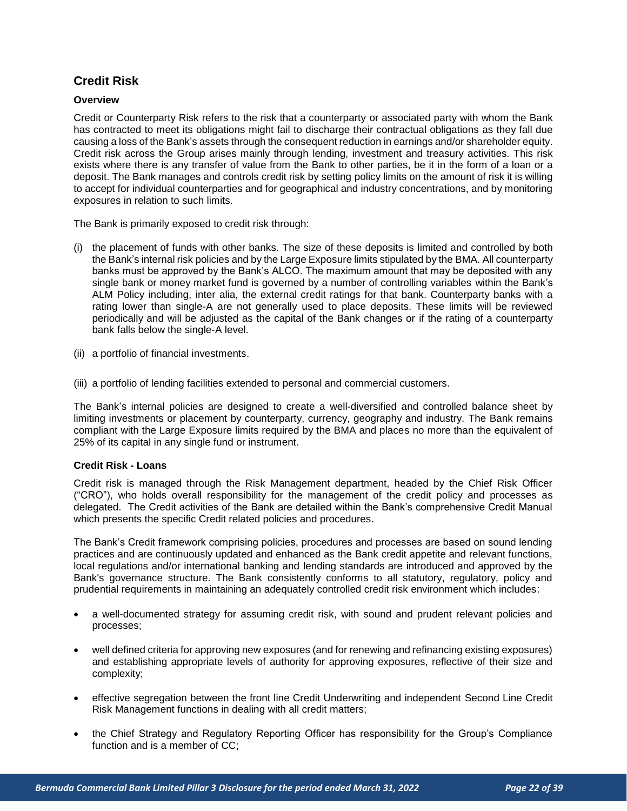# <span id="page-21-0"></span>**Credit Risk**

#### <span id="page-21-1"></span>**Overview**

Credit or Counterparty Risk refers to the risk that a counterparty or associated party with whom the Bank has contracted to meet its obligations might fail to discharge their contractual obligations as they fall due causing a loss of the Bank's assets through the consequent reduction in earnings and/or shareholder equity. Credit risk across the Group arises mainly through lending, investment and treasury activities. This risk exists where there is any transfer of value from the Bank to other parties, be it in the form of a loan or a deposit. The Bank manages and controls credit risk by setting policy limits on the amount of risk it is willing to accept for individual counterparties and for geographical and industry concentrations, and by monitoring exposures in relation to such limits.

The Bank is primarily exposed to credit risk through:

- (i) the placement of funds with other banks. The size of these deposits is limited and controlled by both the Bank's internal risk policies and by the Large Exposure limits stipulated by the BMA. All counterparty banks must be approved by the Bank's ALCO. The maximum amount that may be deposited with any single bank or money market fund is governed by a number of controlling variables within the Bank's ALM Policy including, inter alia, the external credit ratings for that bank. Counterparty banks with a rating lower than single-A are not generally used to place deposits. These limits will be reviewed periodically and will be adjusted as the capital of the Bank changes or if the rating of a counterparty bank falls below the single-A level.
- (ii) a portfolio of financial investments.
- (iii) a portfolio of lending facilities extended to personal and commercial customers.

The Bank's internal policies are designed to create a well-diversified and controlled balance sheet by limiting investments or placement by counterparty, currency, geography and industry. The Bank remains compliant with the Large Exposure limits required by the BMA and places no more than the equivalent of 25% of its capital in any single fund or instrument.

#### **Credit Risk - Loans**

Credit risk is managed through the Risk Management department, headed by the Chief Risk Officer ("CRO"), who holds overall responsibility for the management of the credit policy and processes as delegated. The Credit activities of the Bank are detailed within the Bank's comprehensive Credit Manual which presents the specific Credit related policies and procedures.

The Bank's Credit framework comprising policies, procedures and processes are based on sound lending practices and are continuously updated and enhanced as the Bank credit appetite and relevant functions, local regulations and/or international banking and lending standards are introduced and approved by the Bank's governance structure. The Bank consistently conforms to all statutory, regulatory, policy and prudential requirements in maintaining an adequately controlled credit risk environment which includes:

- a well-documented strategy for assuming credit risk, with sound and prudent relevant policies and processes;
- well defined criteria for approving new exposures (and for renewing and refinancing existing exposures) and establishing appropriate levels of authority for approving exposures, reflective of their size and complexity;
- effective segregation between the front line Credit Underwriting and independent Second Line Credit Risk Management functions in dealing with all credit matters;
- the Chief Strategy and Regulatory Reporting Officer has responsibility for the Group's Compliance function and is a member of CC;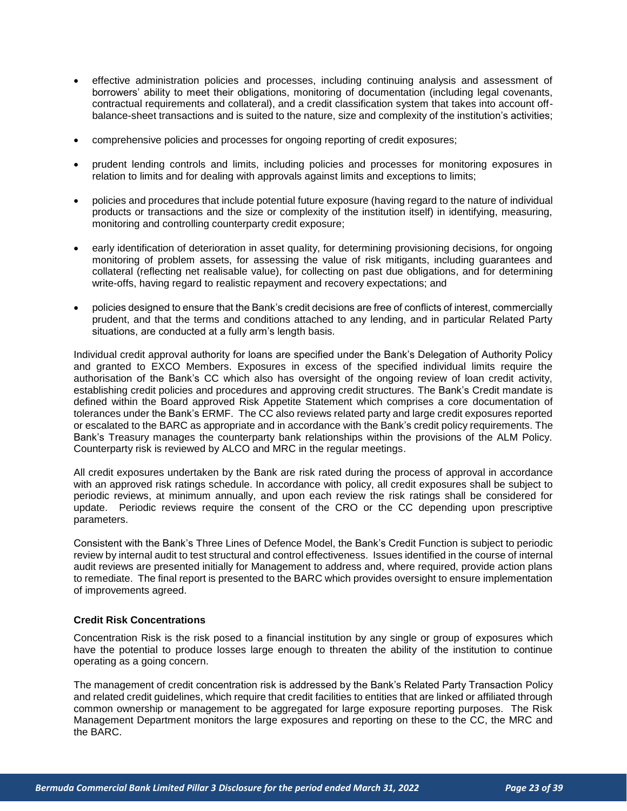- effective administration policies and processes, including continuing analysis and assessment of borrowers' ability to meet their obligations, monitoring of documentation (including legal covenants, contractual requirements and collateral), and a credit classification system that takes into account offbalance-sheet transactions and is suited to the nature, size and complexity of the institution's activities;
- comprehensive policies and processes for ongoing reporting of credit exposures;
- prudent lending controls and limits, including policies and processes for monitoring exposures in relation to limits and for dealing with approvals against limits and exceptions to limits;
- policies and procedures that include potential future exposure (having regard to the nature of individual products or transactions and the size or complexity of the institution itself) in identifying, measuring, monitoring and controlling counterparty credit exposure;
- early identification of deterioration in asset quality, for determining provisioning decisions, for ongoing monitoring of problem assets, for assessing the value of risk mitigants, including guarantees and collateral (reflecting net realisable value), for collecting on past due obligations, and for determining write-offs, having regard to realistic repayment and recovery expectations; and
- policies designed to ensure that the Bank's credit decisions are free of conflicts of interest, commercially prudent, and that the terms and conditions attached to any lending, and in particular Related Party situations, are conducted at a fully arm's length basis.

Individual credit approval authority for loans are specified under the Bank's Delegation of Authority Policy and granted to EXCO Members. Exposures in excess of the specified individual limits require the authorisation of the Bank's CC which also has oversight of the ongoing review of loan credit activity, establishing credit policies and procedures and approving credit structures. The Bank's Credit mandate is defined within the Board approved Risk Appetite Statement which comprises a core documentation of tolerances under the Bank's ERMF. The CC also reviews related party and large credit exposures reported or escalated to the BARC as appropriate and in accordance with the Bank's credit policy requirements. The Bank's Treasury manages the counterparty bank relationships within the provisions of the ALM Policy. Counterparty risk is reviewed by ALCO and MRC in the regular meetings.

All credit exposures undertaken by the Bank are risk rated during the process of approval in accordance with an approved risk ratings schedule. In accordance with policy, all credit exposures shall be subject to periodic reviews, at minimum annually, and upon each review the risk ratings shall be considered for update. Periodic reviews require the consent of the CRO or the CC depending upon prescriptive parameters.

Consistent with the Bank's Three Lines of Defence Model, the Bank's Credit Function is subject to periodic review by internal audit to test structural and control effectiveness. Issues identified in the course of internal audit reviews are presented initially for Management to address and, where required, provide action plans to remediate. The final report is presented to the BARC which provides oversight to ensure implementation of improvements agreed.

#### **Credit Risk Concentrations**

Concentration Risk is the risk posed to a financial institution by any single or group of exposures which have the potential to produce losses large enough to threaten the ability of the institution to continue operating as a going concern.

The management of credit concentration risk is addressed by the Bank's Related Party Transaction Policy and related credit guidelines, which require that credit facilities to entities that are linked or affiliated through common ownership or management to be aggregated for large exposure reporting purposes. The Risk Management Department monitors the large exposures and reporting on these to the CC, the MRC and the BARC.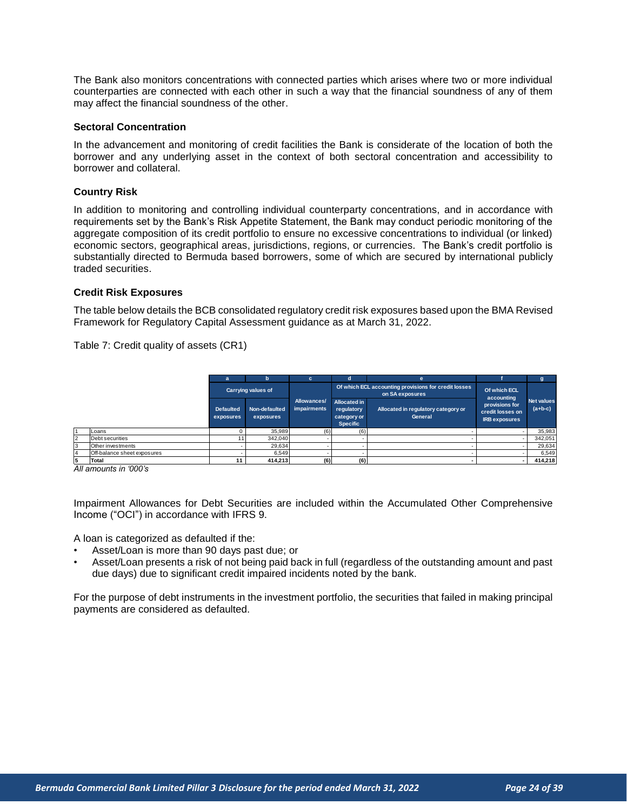The Bank also monitors concentrations with connected parties which arises where two or more individual counterparties are connected with each other in such a way that the financial soundness of any of them may affect the financial soundness of the other.

#### **Sectoral Concentration**

In the advancement and monitoring of credit facilities the Bank is considerate of the location of both the borrower and any underlying asset in the context of both sectoral concentration and accessibility to borrower and collateral.

#### **Country Risk**

In addition to monitoring and controlling individual counterparty concentrations, and in accordance with requirements set by the Bank's Risk Appetite Statement, the Bank may conduct periodic monitoring of the aggregate composition of its credit portfolio to ensure no excessive concentrations to individual (or linked) economic sectors, geographical areas, jurisdictions, regions, or currencies. The Bank's credit portfolio is substantially directed to Bermuda based borrowers, some of which are secured by international publicly traded securities.

#### **Credit Risk Exposures**

The table below details the BCB consolidated regulatory credit risk exposures based upon the BMA Revised Framework for Regulatory Capital Assessment guidance as at March 31, 2022.

Table 7: Credit quality of assets (CR1)

|                |                             | a                             | b                          | c.                                | n                                                                   | e                                                                       |                                                            |                                |
|----------------|-----------------------------|-------------------------------|----------------------------|-----------------------------------|---------------------------------------------------------------------|-------------------------------------------------------------------------|------------------------------------------------------------|--------------------------------|
|                |                             | <b>Carrying values of</b>     |                            |                                   |                                                                     | Of which ECL accounting provisions for credit losses<br>on SA exposures | Of which ECL<br>accounting                                 |                                |
|                |                             | <b>Defaulted</b><br>exposures | Non-defaulted<br>exposures | Allowances/<br><b>impairments</b> | <b>Allocated in</b><br>regulatory<br>category or<br><b>Specific</b> | Allocated in regulatory category or<br>General                          | provisions for<br>credit losses on<br><b>IRB</b> exposures | <b>Net values</b><br>$(a+b-c)$ |
|                | Loans                       |                               | 35.989                     | (6)                               | (6)                                                                 |                                                                         |                                                            | 35,983                         |
| $\overline{2}$ | Debt securities             |                               | 342,040                    |                                   |                                                                     |                                                                         |                                                            | 342,051                        |
| 3              | Other investments           |                               | 29,634                     |                                   |                                                                     |                                                                         |                                                            | 29,634                         |
| $\overline{4}$ | Off-balance sheet exposures |                               | 6.549                      |                                   |                                                                     |                                                                         |                                                            | 6,549                          |
| 5              | Total                       |                               | 414,213                    | (6)                               | (6)                                                                 |                                                                         |                                                            | 414,218                        |
|                | All amounts in '000's       |                               |                            |                                   |                                                                     |                                                                         |                                                            |                                |

Impairment Allowances for Debt Securities are included within the Accumulated Other Comprehensive Income ("OCI") in accordance with IFRS 9.

A loan is categorized as defaulted if the:

- Asset/Loan is more than 90 days past due; or
- Asset/Loan presents a risk of not being paid back in full (regardless of the outstanding amount and past due days) due to significant credit impaired incidents noted by the bank.

For the purpose of debt instruments in the investment portfolio, the securities that failed in making principal payments are considered as defaulted.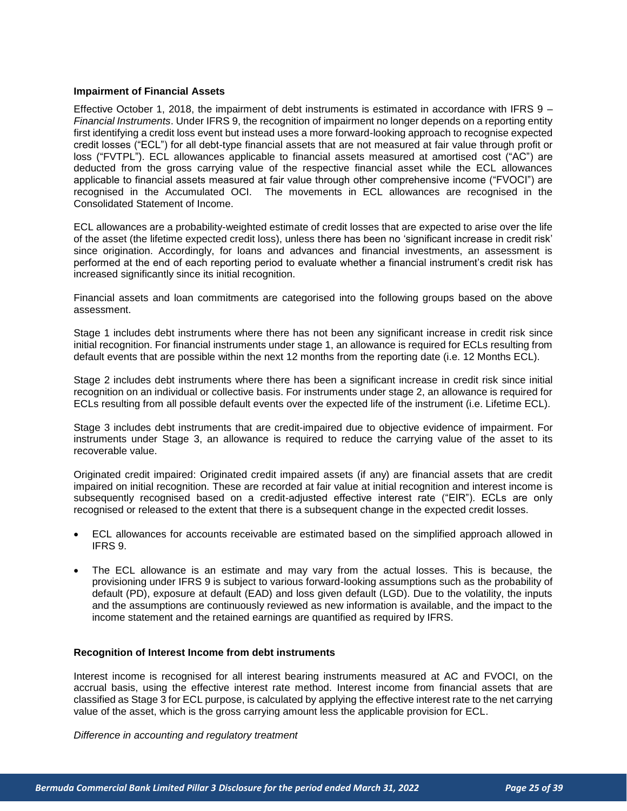#### **Impairment of Financial Assets**

Effective October 1, 2018, the impairment of debt instruments is estimated in accordance with IFRS 9 – *Financial Instruments*. Under IFRS 9, the recognition of impairment no longer depends on a reporting entity first identifying a credit loss event but instead uses a more forward-looking approach to recognise expected credit losses ("ECL") for all debt-type financial assets that are not measured at fair value through profit or loss ("FVTPL"). ECL allowances applicable to financial assets measured at amortised cost ("AC") are deducted from the gross carrying value of the respective financial asset while the ECL allowances applicable to financial assets measured at fair value through other comprehensive income ("FVOCI") are recognised in the Accumulated OCI. The movements in ECL allowances are recognised in the Consolidated Statement of Income.

ECL allowances are a probability-weighted estimate of credit losses that are expected to arise over the life of the asset (the lifetime expected credit loss), unless there has been no 'significant increase in credit risk' since origination. Accordingly, for loans and advances and financial investments, an assessment is performed at the end of each reporting period to evaluate whether a financial instrument's credit risk has increased significantly since its initial recognition.

Financial assets and loan commitments are categorised into the following groups based on the above assessment.

Stage 1 includes debt instruments where there has not been any significant increase in credit risk since initial recognition. For financial instruments under stage 1, an allowance is required for ECLs resulting from default events that are possible within the next 12 months from the reporting date (i.e. 12 Months ECL).

Stage 2 includes debt instruments where there has been a significant increase in credit risk since initial recognition on an individual or collective basis. For instruments under stage 2, an allowance is required for ECLs resulting from all possible default events over the expected life of the instrument (i.e. Lifetime ECL).

Stage 3 includes debt instruments that are credit-impaired due to objective evidence of impairment. For instruments under Stage 3, an allowance is required to reduce the carrying value of the asset to its recoverable value.

Originated credit impaired: Originated credit impaired assets (if any) are financial assets that are credit impaired on initial recognition. These are recorded at fair value at initial recognition and interest income is subsequently recognised based on a credit-adjusted effective interest rate ("EIR"). ECLs are only recognised or released to the extent that there is a subsequent change in the expected credit losses.

- ECL allowances for accounts receivable are estimated based on the simplified approach allowed in IFRS 9.
- The ECL allowance is an estimate and may vary from the actual losses. This is because, the provisioning under IFRS 9 is subject to various forward-looking assumptions such as the probability of default (PD), exposure at default (EAD) and loss given default (LGD). Due to the volatility, the inputs and the assumptions are continuously reviewed as new information is available, and the impact to the income statement and the retained earnings are quantified as required by IFRS.

#### **Recognition of Interest Income from debt instruments**

Interest income is recognised for all interest bearing instruments measured at AC and FVOCI, on the accrual basis, using the effective interest rate method. Interest income from financial assets that are classified as Stage 3 for ECL purpose, is calculated by applying the effective interest rate to the net carrying value of the asset, which is the gross carrying amount less the applicable provision for ECL.

*Difference in accounting and regulatory treatment*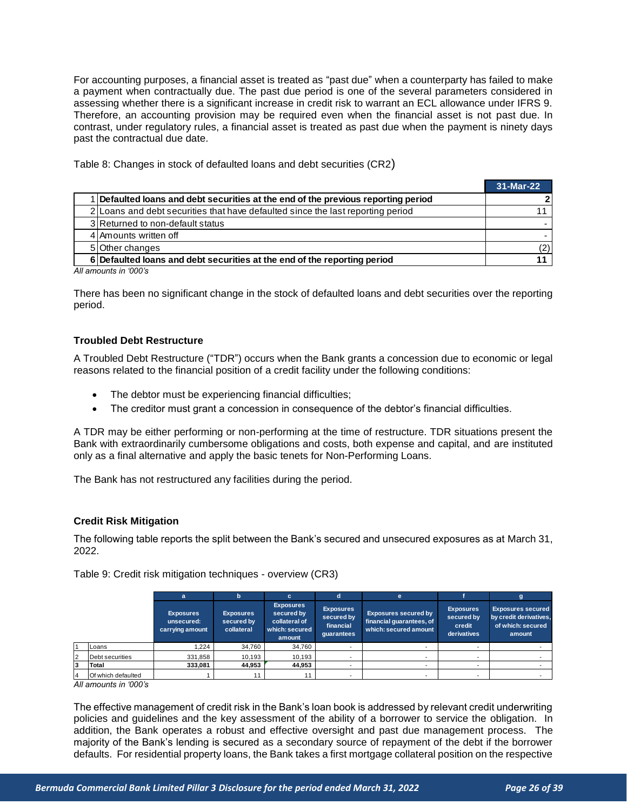For accounting purposes, a financial asset is treated as "past due" when a counterparty has failed to make a payment when contractually due. The past due period is one of the several parameters considered in assessing whether there is a significant increase in credit risk to warrant an ECL allowance under IFRS 9. Therefore, an accounting provision may be required even when the financial asset is not past due. In contrast, under regulatory rules, a financial asset is treated as past due when the payment is ninety days past the contractual due date.

Table 8: Changes in stock of defaulted loans and debt securities (CR2)

| Table 0. Originged in Stock of actuality found and activities (ORC)             |           |
|---------------------------------------------------------------------------------|-----------|
|                                                                                 | 31-Mar-22 |
| Defaulted loans and debt securities at the end of the previous reporting period |           |
| 2 Loans and debt securities that have defaulted since the last reporting period |           |
| 3 Returned to non-default status                                                |           |
| 4 Amounts written off                                                           |           |
| 5 Other changes                                                                 | (2)       |
| 6 Defaulted loans and debt securities at the end of the reporting period        |           |
| All amounts in '000's                                                           |           |

*All amounts in '000's*

There has been no significant change in the stock of defaulted loans and debt securities over the reporting period.

#### **Troubled Debt Restructure**

A Troubled Debt Restructure ("TDR") occurs when the Bank grants a concession due to economic or legal reasons related to the financial position of a credit facility under the following conditions:

- The debtor must be experiencing financial difficulties;
- The creditor must grant a concession in consequence of the debtor's financial difficulties.

A TDR may be either performing or non-performing at the time of restructure. TDR situations present the Bank with extraordinarily cumbersome obligations and costs, both expense and capital, and are instituted only as a final alternative and apply the basic tenets for Non-Performing Loans.

The Bank has not restructured any facilities during the period.

#### <span id="page-25-0"></span>**Credit Risk Mitigation**

The following table reports the split between the Bank's secured and unsecured exposures as at March 31, 2022.

|                | ZUZZ.                                                       |                                                   |                                              |                                                                             |                                                           |                                                                                  |                                                         |                                                                                   |  |  |  |
|----------------|-------------------------------------------------------------|---------------------------------------------------|----------------------------------------------|-----------------------------------------------------------------------------|-----------------------------------------------------------|----------------------------------------------------------------------------------|---------------------------------------------------------|-----------------------------------------------------------------------------------|--|--|--|
|                | Table 9: Credit risk mitigation techniques - overview (CR3) |                                                   |                                              |                                                                             |                                                           |                                                                                  |                                                         |                                                                                   |  |  |  |
|                |                                                             | a                                                 | h                                            | c.                                                                          | d                                                         | e                                                                                |                                                         | g                                                                                 |  |  |  |
|                |                                                             | <b>Exposures</b><br>unsecured:<br>carrying amount | <b>Exposures</b><br>secured by<br>collateral | <b>Exposures</b><br>secured by<br>collateral of<br>which: secured<br>amount | <b>Exposures</b><br>secured by<br>financial<br>quarantees | <b>Exposures secured by</b><br>financial guarantees, of<br>which: secured amount | <b>Exposures</b><br>secured by<br>credit<br>derivatives | <b>Exposures secured</b><br>by credit derivatives,<br>of which: secured<br>amount |  |  |  |
|                | Loans                                                       | 1.224                                             | 34,760                                       | 34,760                                                                      |                                                           |                                                                                  |                                                         |                                                                                   |  |  |  |
| $\overline{2}$ | Debt securities                                             | 331,858                                           | 10,193                                       | 10,193                                                                      | ۰                                                         | ۰                                                                                | $\overline{\phantom{a}}$                                |                                                                                   |  |  |  |
| 3              | Total                                                       | 333,081                                           | 44.953                                       | 44,953                                                                      |                                                           | ٠                                                                                | -                                                       |                                                                                   |  |  |  |
| 4              | Of which defaulted                                          |                                                   |                                              | 11                                                                          |                                                           | ۰                                                                                |                                                         |                                                                                   |  |  |  |
|                | All amounts in '000's                                       |                                                   |                                              |                                                                             |                                                           |                                                                                  |                                                         |                                                                                   |  |  |  |

The effective management of credit risk in the Bank's loan book is addressed by relevant credit underwriting policies and guidelines and the key assessment of the ability of a borrower to service the obligation. In addition, the Bank operates a robust and effective oversight and past due management process. The majority of the Bank's lending is secured as a secondary source of repayment of the debt if the borrower defaults. For residential property loans, the Bank takes a first mortgage collateral position on the respective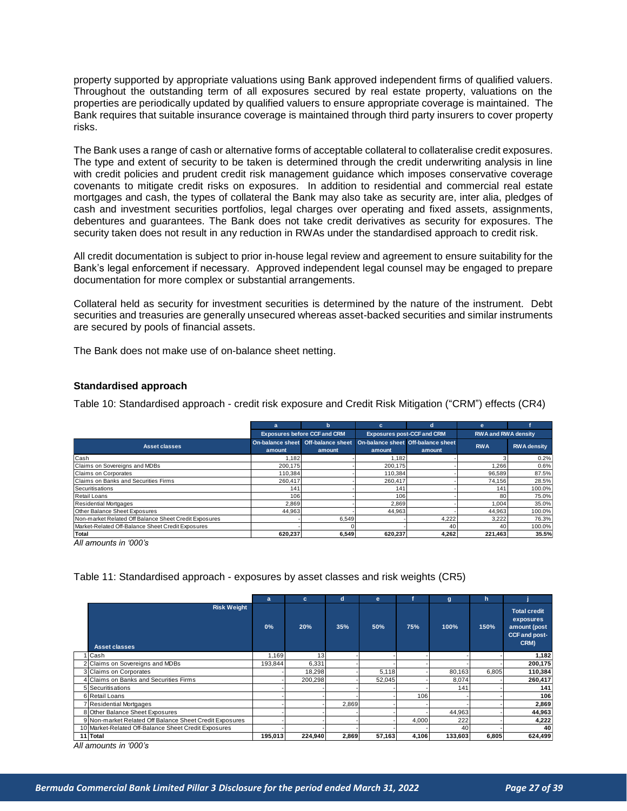property supported by appropriate valuations using Bank approved independent firms of qualified valuers. Throughout the outstanding term of all exposures secured by real estate property, valuations on the properties are periodically updated by qualified valuers to ensure appropriate coverage is maintained. The Bank requires that suitable insurance coverage is maintained through third party insurers to cover property risks.

The Bank uses a range of cash or alternative forms of acceptable collateral to collateralise credit exposures. The type and extent of security to be taken is determined through the credit underwriting analysis in line with credit policies and prudent credit risk management guidance which imposes conservative coverage covenants to mitigate credit risks on exposures. In addition to residential and commercial real estate mortgages and cash, the types of collateral the Bank may also take as security are, inter alia, pledges of cash and investment securities portfolios, legal charges over operating and fixed assets, assignments, debentures and guarantees. The Bank does not take credit derivatives as security for exposures. The security taken does not result in any reduction in RWAs under the standardised approach to credit risk.

All credit documentation is subject to prior in-house legal review and agreement to ensure suitability for the Bank's legal enforcement if necessary. Approved independent legal counsel may be engaged to prepare documentation for more complex or substantial arrangements.

Collateral held as security for investment securities is determined by the nature of the instrument. Debt securities and treasuries are generally unsecured whereas asset-backed securities and similar instruments are secured by pools of financial assets.

The Bank does not make use of on-balance sheet netting.

#### <span id="page-26-0"></span>**Standardised approach**

Table 10: Standardised approach - credit risk exposure and Credit Risk Mitigation ("CRM") effects (CR4)

|                                                       | a                                   | h                                            | c                                            | d.     | e                          |                    |  |
|-------------------------------------------------------|-------------------------------------|----------------------------------------------|----------------------------------------------|--------|----------------------------|--------------------|--|
|                                                       | <b>Exposures before CCF and CRM</b> |                                              | <b>Exposures post-CCF and CRM</b>            |        | <b>RWA and RWA density</b> |                    |  |
| <b>Asset classes</b>                                  | amount                              | On-balance sheet Off-balance sheet<br>amount | On-balance sheet Off-balance sheet<br>amount | amount | <b>RWA</b>                 | <b>RWA</b> density |  |
| Cash                                                  | 1.182                               |                                              | .182                                         |        |                            | 0.2%               |  |
| Claims on Sovereigns and MDBs                         | 200.175                             |                                              | 200.175                                      |        | .266                       | 0.6%               |  |
| Claims on Corporates                                  | 110,384                             |                                              | 110,384                                      |        | 96.589                     | 87.5%              |  |
| Claims on Banks and Securities Firms                  | 260.417                             |                                              | 260.417                                      |        | 74,156                     | 28.5%              |  |
| Securitisations                                       | 141                                 |                                              | 141                                          |        | 141                        | 100.0%             |  |
| Retail Loans                                          | 106                                 |                                              | 106                                          |        | 80                         | 75.0%              |  |
| <b>Residential Mortgages</b>                          | 2.869                               |                                              | 2,869                                        |        | 1.004                      | 35.0%              |  |
| Other Balance Sheet Exposures                         | 44,963                              |                                              | 44,963                                       |        | 44.963                     | 100.0%             |  |
| Non-market Related Off Balance Sheet Credit Exposures |                                     | 6,549                                        |                                              | 4,222  | 3,222                      | 76.3%              |  |
| Market-Related Off-Balance Sheet Credit Exposures     |                                     |                                              |                                              | 40     | 40                         | 100.0%             |  |
| <b>Total</b>                                          | 620.237                             | 6,549                                        | 620.237                                      | 4,262  | 221,463                    | 35.5%              |  |

*All amounts in '000's*

|                                                         |         |         |       |        |       | Table 11: Standardised approach - exposures by asset classes and risk weights (CR5) |       |                                                                           |
|---------------------------------------------------------|---------|---------|-------|--------|-------|-------------------------------------------------------------------------------------|-------|---------------------------------------------------------------------------|
|                                                         | a       | c       | d     | e      |       | g                                                                                   | h     |                                                                           |
| <b>Risk Weight</b><br><b>Asset classes</b>              | 0%      | 20%     | 35%   | 50%    | 75%   | 100%                                                                                | 150%  | <b>Total credit</b><br>exposures<br>amount (post<br>CCF and post-<br>CRM) |
| I Cash                                                  | 1,169   | 13      |       |        |       |                                                                                     |       | 1,182                                                                     |
| 2 Claims on Sovereigns and MDBs                         | 193,844 | 6,331   |       |        |       |                                                                                     |       | 200,175                                                                   |
| 3 Claims on Corporates                                  |         | 18,298  |       | 5,118  |       | 80,163                                                                              | 6,805 | 110,384                                                                   |
| 4 Claims on Banks and Securities Firms                  |         | 200,298 |       | 52,045 |       | 8,074                                                                               |       | 260,417                                                                   |
| 5 Securitisations                                       |         |         |       |        |       | 141                                                                                 |       | 141                                                                       |
| 6 Retail Loans                                          |         |         |       |        | 106   |                                                                                     |       | 106                                                                       |
| 7 Residential Mortgages                                 |         |         | 2,869 |        |       |                                                                                     |       | 2,869                                                                     |
| 8 Other Balance Sheet Exposures                         |         |         |       |        |       | 44,963                                                                              |       | 44,963                                                                    |
| 9 Non-market Related Off Balance Sheet Credit Exposures |         |         |       |        | 4,000 | 222                                                                                 |       | 4,222                                                                     |
| 10 Market-Related Off-Balance Sheet Credit Exposures    |         |         |       |        |       | 40                                                                                  |       | 40                                                                        |
| 11 Total                                                | 195,013 | 224,940 | 2,869 | 57,163 | 4,106 | 133,603                                                                             | 6,805 | 624,499                                                                   |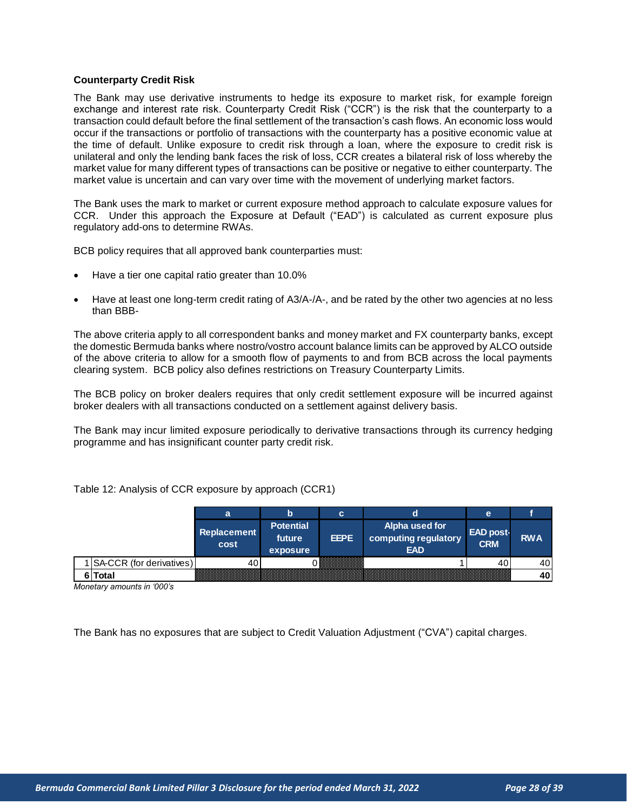#### <span id="page-27-0"></span>**Counterparty Credit Risk**

The Bank may use derivative instruments to hedge its exposure to market risk, for example foreign exchange and interest rate risk. Counterparty Credit Risk ("CCR") is the risk that the counterparty to a transaction could default before the final settlement of the transaction's cash flows. An economic loss would occur if the transactions or portfolio of transactions with the counterparty has a positive economic value at the time of default. Unlike exposure to credit risk through a loan, where the exposure to credit risk is unilateral and only the lending bank faces the risk of loss, CCR creates a bilateral risk of loss whereby the market value for many different types of transactions can be positive or negative to either counterparty. The market value is uncertain and can vary over time with the movement of underlying market factors.

The Bank uses the mark to market or current exposure method approach to calculate exposure values for CCR. Under this approach the Exposure at Default ("EAD") is calculated as current exposure plus regulatory add-ons to determine RWAs.

BCB policy requires that all approved bank counterparties must:

- Have a tier one capital ratio greater than 10.0%
- Have at least one long-term credit rating of A3/A-/A-, and be rated by the other two agencies at no less than BBB-

The above criteria apply to all correspondent banks and money market and FX counterparty banks, except the domestic Bermuda banks where nostro/vostro account balance limits can be approved by ALCO outside of the above criteria to allow for a smooth flow of payments to and from BCB across the local payments clearing system. BCB policy also defines restrictions on Treasury Counterparty Limits.

The BCB policy on broker dealers requires that only credit settlement exposure will be incurred against broker dealers with all transactions conducted on a settlement against delivery basis.

The Bank may incur limited exposure periodically to derivative transactions through its currency hedging programme and has insignificant counter party credit risk.

|                            | a                   | D                                      | c           |                                                      | e                              |            |
|----------------------------|---------------------|----------------------------------------|-------------|------------------------------------------------------|--------------------------------|------------|
|                            | Replacement<br>cost | <b>Potential</b><br>future<br>exposure | <b>EEPE</b> | Alpha used for<br>computing regulatory<br><b>EAD</b> | <b>EAD post-</b><br><b>CRM</b> | <b>RWA</b> |
| 1 SA-CCR (for derivatives) | 40                  |                                        |             |                                                      | 40                             | 40         |
| Total<br>61                |                     |                                        |             |                                                      |                                | 40         |

Table 12: Analysis of CCR exposure by approach (CCR1)

*Monetary amounts in '000's*

The Bank has no exposures that are subject to Credit Valuation Adjustment ("CVA") capital charges.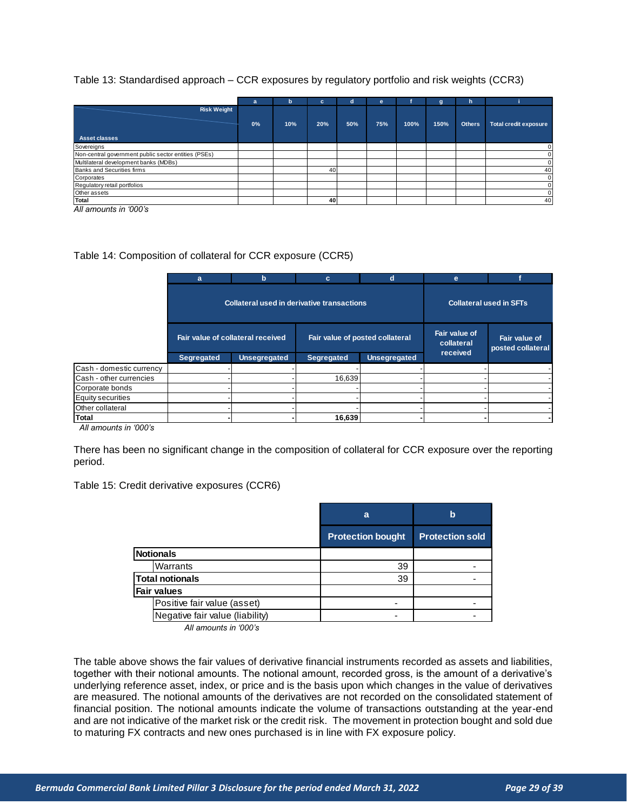|                                                      | a  | b   | с   | d   | е   |      | a    | h             |                              |
|------------------------------------------------------|----|-----|-----|-----|-----|------|------|---------------|------------------------------|
| <b>Risk Weight</b>                                   |    |     |     |     |     |      |      |               |                              |
|                                                      | 0% | 10% | 20% | 50% | 75% | 100% | 150% | <b>Others</b> | <b>Total credit exposure</b> |
| <b>Asset classes</b>                                 |    |     |     |     |     |      |      |               |                              |
| Sovereigns                                           |    |     |     |     |     |      |      |               |                              |
| Non-central government public sector entities (PSEs) |    |     |     |     |     |      |      |               |                              |
| Multilateral development banks (MDBs)                |    |     |     |     |     |      |      |               |                              |
| Banks and Securities firms                           |    |     | 40  |     |     |      |      |               | 40                           |
| Corporates                                           |    |     |     |     |     |      |      |               |                              |
| Regulatory retail portfolios                         |    |     |     |     |     |      |      |               |                              |
| Other assets                                         |    |     |     |     |     |      |      |               |                              |
| Total                                                |    |     | 40  |     |     |      |      |               | 40                           |

*All amounts in '000's*

#### Table 14: Composition of collateral for CCR exposure (CCR5)

|                          | a          | b                                          | c                               | d                   | e                                       |                                    |  |
|--------------------------|------------|--------------------------------------------|---------------------------------|---------------------|-----------------------------------------|------------------------------------|--|
|                          |            | Collateral used in derivative transactions |                                 |                     |                                         | <b>Collateral used in SFTs</b>     |  |
|                          |            | Fair value of collateral received          | Fair value of posted collateral |                     | Fair value of<br>collateral<br>received | Fair value of<br>posted collateral |  |
|                          | Segregated | <b>Unsegregated</b>                        | Segregated                      | <b>Unsegregated</b> |                                         |                                    |  |
| Cash - domestic currency |            |                                            |                                 |                     |                                         |                                    |  |
| Cash - other currencies  |            |                                            | 16,639                          |                     |                                         |                                    |  |
| Corporate bonds          |            |                                            |                                 |                     |                                         |                                    |  |
| <b>Equity securities</b> |            |                                            |                                 |                     |                                         |                                    |  |
| Other collateral         |            |                                            |                                 |                     |                                         |                                    |  |
| Total                    |            |                                            | 16,639                          |                     |                                         |                                    |  |

*All amounts in '000's*

There has been no significant change in the composition of collateral for CCR exposure over the reporting period.

#### Table 15: Credit derivative exposures (CCR6)

|                                 | a                        | $\mathbf b$            |
|---------------------------------|--------------------------|------------------------|
|                                 | <b>Protection bought</b> | <b>Protection sold</b> |
| <b>Notionals</b>                |                          |                        |
| Warrants                        | 39                       |                        |
| <b>Total notionals</b>          | 39                       |                        |
| Fair values                     |                          |                        |
| Positive fair value (asset)     |                          |                        |
| Negative fair value (liability) |                          |                        |

*All amounts in '000's*

The table above shows the fair values of derivative financial instruments recorded as assets and liabilities, together with their notional amounts. The notional amount, recorded gross, is the amount of a derivative's underlying reference asset, index, or price and is the basis upon which changes in the value of derivatives are measured. The notional amounts of the derivatives are not recorded on the consolidated statement of financial position. The notional amounts indicate the volume of transactions outstanding at the year-end and are not indicative of the market risk or the credit risk. The movement in protection bought and sold due to maturing FX contracts and new ones purchased is in line with FX exposure policy.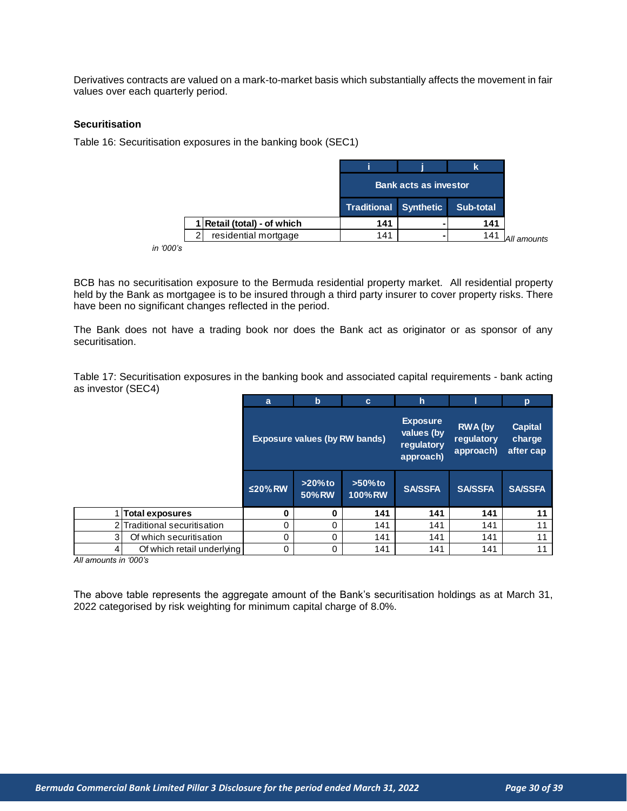Derivatives contracts are valued on a mark-to-market basis which substantially affects the movement in fair values over each quarterly period.

#### <span id="page-29-0"></span>**Securitisation**

Table 16: Securitisation exposures in the banking book (SEC1)

|                             |                       |                               | k         |
|-----------------------------|-----------------------|-------------------------------|-----------|
|                             |                       | <b>Bank acts as investor,</b> |           |
|                             | Traditional Synthetic |                               | Sub-total |
| 1 Retail (total) - of which | 141                   |                               | 141       |
|                             |                       |                               |           |

*in '000's*

BCB has no securitisation exposure to the Bermuda residential property market. All residential property held by the Bank as mortgagee is to be insured through a third party insurer to cover property risks. There have been no significant changes reflected in the period.

The Bank does not have a trading book nor does the Bank act as originator or as sponsor of any securitisation.

Table 17: Securitisation exposures in the banking book and associated capital requirements - bank acting as investor (SEC4)

|   |                              | a             | $\mathbf b$                          | $\mathbf{c}$                | h                                                        |                                           | p                                     |
|---|------------------------------|---------------|--------------------------------------|-----------------------------|----------------------------------------------------------|-------------------------------------------|---------------------------------------|
|   |                              |               | <b>Exposure values (by RW bands)</b> |                             | <b>Exposure</b><br>values (by<br>regulatory<br>approach) | <b>RWA</b> (by<br>requlatory<br>approach) | <b>Capital</b><br>charge<br>after cap |
|   |                              | $\leq$ 20% RW | $>20\%$ to<br><b>50% RW</b>          | $>50\%$ to<br><b>100%RW</b> | <b>SA/SSFA</b>                                           | <b>SA/SSFA</b>                            | <b>SA/SSFA</b>                        |
|   | <b>Total exposures</b>       | 0             | 0                                    | 141                         | 141                                                      | 141                                       | 11                                    |
|   | 2 Traditional securitisation | 0             | 0                                    | 141                         | 141                                                      | 141                                       | 11                                    |
| 3 | Of which securitisation      | 0             | $\Omega$                             | 141                         | 141                                                      | 141                                       | 11                                    |
|   | Of which retail underlying   | 0             | 0                                    | 141                         | 141                                                      | 141                                       | 11                                    |
|   | s in '000's                  |               |                                      |                             |                                                          |                                           |                                       |

*All amounts in '000's*

The above table represents the aggregate amount of the Bank's securitisation holdings as at March 31, 2022 categorised by risk weighting for minimum capital charge of 8.0%.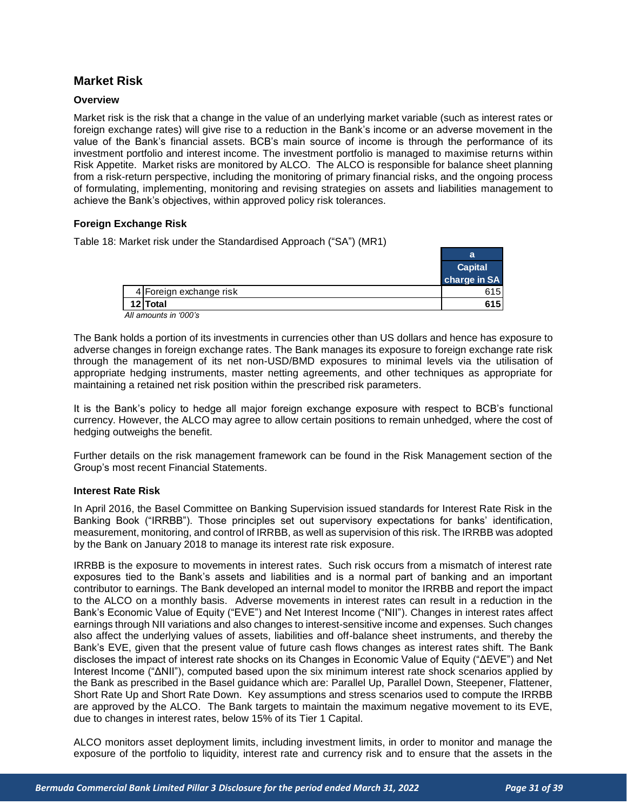# <span id="page-30-0"></span>**Market Risk**

#### <span id="page-30-1"></span>**Overview**

Market risk is the risk that a change in the value of an underlying market variable (such as interest rates or foreign exchange rates) will give rise to a reduction in the Bank's income or an adverse movement in the value of the Bank's financial assets. BCB's main source of income is through the performance of its investment portfolio and interest income. The investment portfolio is managed to maximise returns within Risk Appetite. Market risks are monitored by ALCO. The ALCO is responsible for balance sheet planning from a risk-return perspective, including the monitoring of primary financial risks, and the ongoing process of formulating, implementing, monitoring and revising strategies on assets and liabilities management to achieve the Bank's objectives, within approved policy risk tolerances.

#### <span id="page-30-2"></span>**Foreign Exchange Risk**

Table 18: Market risk under the Standardised Approach ("SA") (MR1)

|                         | a                       |
|-------------------------|-------------------------|
|                         | Capital<br>charge in SA |
|                         |                         |
| 4 Foreign exchange risk | 615I                    |
| 12 Total                | 615 I                   |
| All amounts in '000's   |                         |

The Bank holds a portion of its investments in currencies other than US dollars and hence has exposure to adverse changes in foreign exchange rates. The Bank manages its exposure to foreign exchange rate risk through the management of its net non-USD/BMD exposures to minimal levels via the utilisation of appropriate hedging instruments, master netting agreements, and other techniques as appropriate for maintaining a retained net risk position within the prescribed risk parameters.

It is the Bank's policy to hedge all major foreign exchange exposure with respect to BCB's functional currency. However, the ALCO may agree to allow certain positions to remain unhedged, where the cost of hedging outweighs the benefit.

Further details on the risk management framework can be found in the Risk Management section of the Group's most recent Financial Statements.

#### <span id="page-30-3"></span>**Interest Rate Risk**

In April 2016, the Basel Committee on Banking Supervision issued standards for Interest Rate Risk in the Banking Book ("IRRBB"). Those principles set out supervisory expectations for banks' identification, measurement, monitoring, and control of IRRBB, as well as supervision of this risk. The IRRBB was adopted by the Bank on January 2018 to manage its interest rate risk exposure.

IRRBB is the exposure to movements in interest rates. Such risk occurs from a mismatch of interest rate exposures tied to the Bank's assets and liabilities and is a normal part of banking and an important contributor to earnings. The Bank developed an internal model to monitor the IRRBB and report the impact to the ALCO on a monthly basis. Adverse movements in interest rates can result in a reduction in the Bank's Economic Value of Equity ("EVE") and Net Interest Income ("NII"). Changes in interest rates affect earnings through NII variations and also changes to interest-sensitive income and expenses. Such changes also affect the underlying values of assets, liabilities and off-balance sheet instruments, and thereby the Bank's EVE, given that the present value of future cash flows changes as interest rates shift. The Bank discloses the impact of interest rate shocks on its Changes in Economic Value of Equity ("ΔEVE") and Net Interest Income ("ΔNII"), computed based upon the six minimum interest rate shock scenarios applied by the Bank as prescribed in the Basel guidance which are: Parallel Up, Parallel Down, Steepener, Flattener, Short Rate Up and Short Rate Down. Key assumptions and stress scenarios used to compute the IRRBB are approved by the ALCO. The Bank targets to maintain the maximum negative movement to its EVE, due to changes in interest rates, below 15% of its Tier 1 Capital.

ALCO monitors asset deployment limits, including investment limits, in order to monitor and manage the exposure of the portfolio to liquidity, interest rate and currency risk and to ensure that the assets in the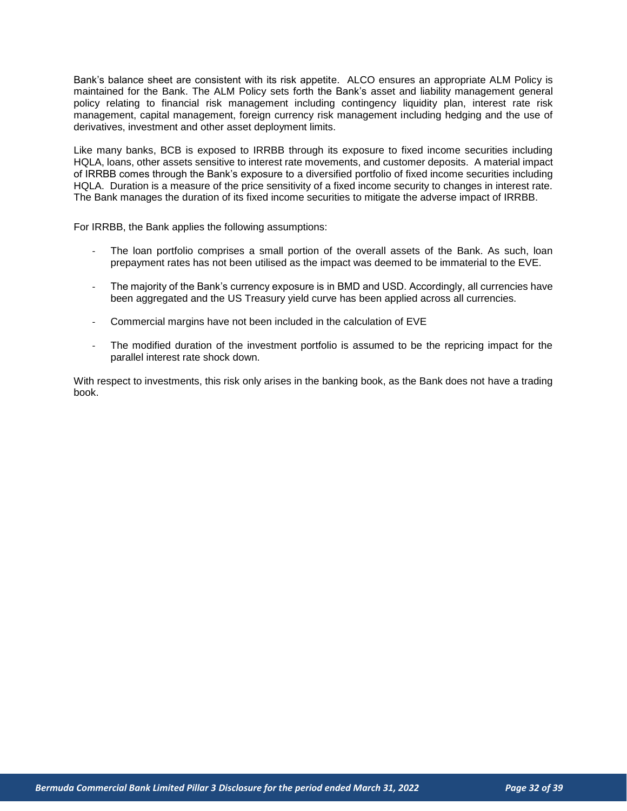Bank's balance sheet are consistent with its risk appetite. ALCO ensures an appropriate ALM Policy is maintained for the Bank. The ALM Policy sets forth the Bank's asset and liability management general policy relating to financial risk management including contingency liquidity plan, interest rate risk management, capital management, foreign currency risk management including hedging and the use of derivatives, investment and other asset deployment limits.

Like many banks, BCB is exposed to IRRBB through its exposure to fixed income securities including HQLA, loans, other assets sensitive to interest rate movements, and customer deposits. A material impact of IRRBB comes through the Bank's exposure to a diversified portfolio of fixed income securities including HQLA. Duration is a measure of the price sensitivity of a fixed income security to changes in interest rate. The Bank manages the duration of its fixed income securities to mitigate the adverse impact of IRRBB.

For IRRBB, the Bank applies the following assumptions:

- The loan portfolio comprises a small portion of the overall assets of the Bank. As such, loan prepayment rates has not been utilised as the impact was deemed to be immaterial to the EVE.
- The majority of the Bank's currency exposure is in BMD and USD. Accordingly, all currencies have been aggregated and the US Treasury yield curve has been applied across all currencies.
- Commercial margins have not been included in the calculation of EVE
- The modified duration of the investment portfolio is assumed to be the repricing impact for the parallel interest rate shock down.

With respect to investments, this risk only arises in the banking book, as the Bank does not have a trading book.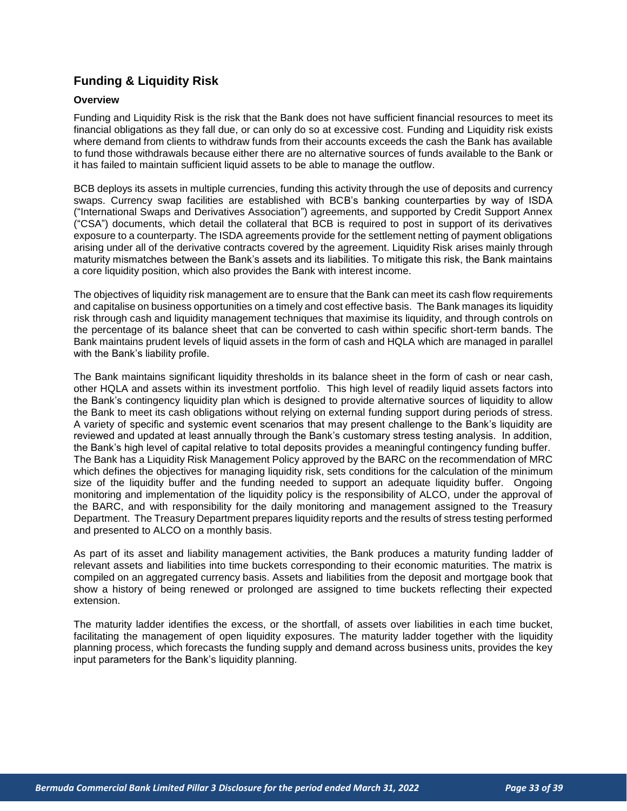# <span id="page-32-0"></span>**Funding & Liquidity Risk**

#### <span id="page-32-1"></span>**Overview**

Funding and Liquidity Risk is the risk that the Bank does not have sufficient financial resources to meet its financial obligations as they fall due, or can only do so at excessive cost. Funding and Liquidity risk exists where demand from clients to withdraw funds from their accounts exceeds the cash the Bank has available to fund those withdrawals because either there are no alternative sources of funds available to the Bank or it has failed to maintain sufficient liquid assets to be able to manage the outflow.

BCB deploys its assets in multiple currencies, funding this activity through the use of deposits and currency swaps. Currency swap facilities are established with BCB's banking counterparties by way of ISDA ("International Swaps and Derivatives Association") agreements, and supported by Credit Support Annex ("CSA") documents, which detail the collateral that BCB is required to post in support of its derivatives exposure to a counterparty. The ISDA agreements provide for the settlement netting of payment obligations arising under all of the derivative contracts covered by the agreement. Liquidity Risk arises mainly through maturity mismatches between the Bank's assets and its liabilities. To mitigate this risk, the Bank maintains a core liquidity position, which also provides the Bank with interest income.

The objectives of liquidity risk management are to ensure that the Bank can meet its cash flow requirements and capitalise on business opportunities on a timely and cost effective basis. The Bank manages its liquidity risk through cash and liquidity management techniques that maximise its liquidity, and through controls on the percentage of its balance sheet that can be converted to cash within specific short-term bands. The Bank maintains prudent levels of liquid assets in the form of cash and HQLA which are managed in parallel with the Bank's liability profile.

The Bank maintains significant liquidity thresholds in its balance sheet in the form of cash or near cash, other HQLA and assets within its investment portfolio. This high level of readily liquid assets factors into the Bank's contingency liquidity plan which is designed to provide alternative sources of liquidity to allow the Bank to meet its cash obligations without relying on external funding support during periods of stress. A variety of specific and systemic event scenarios that may present challenge to the Bank's liquidity are reviewed and updated at least annually through the Bank's customary stress testing analysis. In addition, the Bank's high level of capital relative to total deposits provides a meaningful contingency funding buffer. The Bank has a Liquidity Risk Management Policy approved by the BARC on the recommendation of MRC which defines the objectives for managing liquidity risk, sets conditions for the calculation of the minimum size of the liquidity buffer and the funding needed to support an adequate liquidity buffer. Ongoing monitoring and implementation of the liquidity policy is the responsibility of ALCO, under the approval of the BARC, and with responsibility for the daily monitoring and management assigned to the Treasury Department. The Treasury Department prepares liquidity reports and the results of stress testing performed and presented to ALCO on a monthly basis.

As part of its asset and liability management activities, the Bank produces a maturity funding ladder of relevant assets and liabilities into time buckets corresponding to their economic maturities. The matrix is compiled on an aggregated currency basis. Assets and liabilities from the deposit and mortgage book that show a history of being renewed or prolonged are assigned to time buckets reflecting their expected extension.

The maturity ladder identifies the excess, or the shortfall, of assets over liabilities in each time bucket, facilitating the management of open liquidity exposures. The maturity ladder together with the liquidity planning process, which forecasts the funding supply and demand across business units, provides the key input parameters for the Bank's liquidity planning.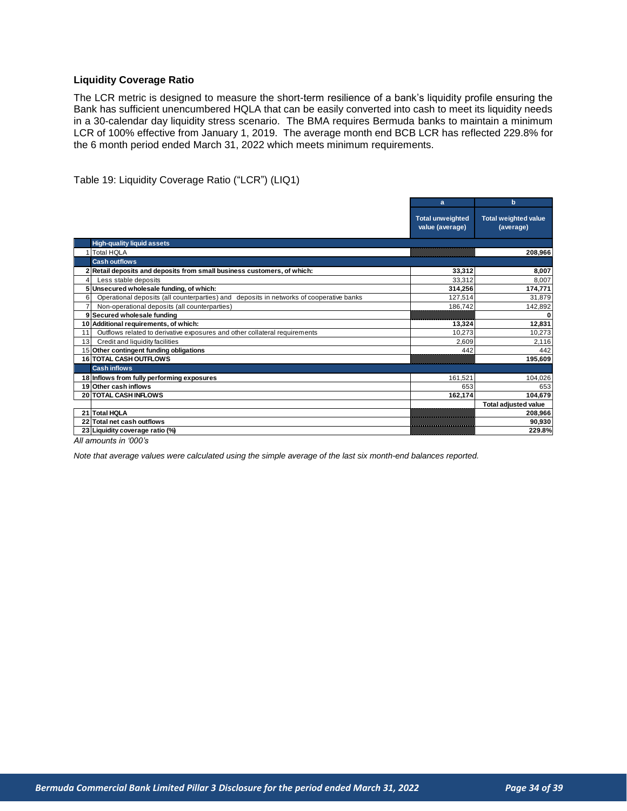#### <span id="page-33-0"></span>**Liquidity Coverage Ratio**

The LCR metric is designed to measure the short-term resilience of a bank's liquidity profile ensuring the Bank has sufficient unencumbered HQLA that can be easily converted into cash to meet its liquidity needs in a 30-calendar day liquidity stress scenario. The BMA requires Bermuda banks to maintain a minimum LCR of 100% effective from January 1, 2019. The average month end BCB LCR has reflected 229.8% for the 6 month period ended March 31, 2022 which meets minimum requirements.

Table 19: Liquidity Coverage Ratio ("LCR") (LIQ1)

|                                                                                              | a                                          | b                                        |
|----------------------------------------------------------------------------------------------|--------------------------------------------|------------------------------------------|
|                                                                                              | <b>Total unweighted</b><br>value (average) | <b>Total weighted value</b><br>(average) |
| <b>High-quality liquid assets</b>                                                            |                                            |                                          |
| <b>Total HQLA</b>                                                                            |                                            | 208,966                                  |
| <b>Cash outflows</b>                                                                         |                                            |                                          |
| 2 Retail deposits and deposits from small business customers, of which:                      | 33,312                                     | 8,007                                    |
| Less stable deposits<br>4                                                                    | 33.312                                     | 8.007                                    |
| Unsecured wholesale funding, of which:                                                       | 314,256                                    | 174,771                                  |
| Operational deposits (all counterparties) and deposits in networks of cooperative banks<br>6 | 127,514                                    | 31,879                                   |
| $\overline{7}$<br>Non-operational deposits (all counterparties)                              | 186,742                                    | 142,892                                  |
| 9 Secured wholesale funding                                                                  |                                            |                                          |
| 10 Additional requirements, of which:                                                        | 13,324                                     | 12,831                                   |
| Outflows related to derivative exposures and other collateral requirements<br>11             | 10,273                                     | 10,273                                   |
| Credit and liquidity facilities<br>13                                                        | 2,609                                      | 2,116                                    |
| 15 Other contingent funding obligations                                                      | 442                                        | 442                                      |
| <b>16 TOTAL CASH OUTFLOWS</b>                                                                |                                            | 195,609                                  |
| <b>Cash inflows</b>                                                                          |                                            |                                          |
| 18 Inflows from fully performing exposures                                                   | 161,521                                    | 104,026                                  |
| 19 Other cash inflows                                                                        | 653                                        | 653                                      |
| 20 TOTAL CASH INFLOWS                                                                        | 162,174                                    | 104,679                                  |
|                                                                                              |                                            | <b>Total adjusted value</b>              |
| 21 Total HQLA                                                                                |                                            | 208,966                                  |
| 22 Total net cash outflows                                                                   |                                            | 90,930                                   |
| 23 Liquidity coverage ratio (%)                                                              |                                            | 229.8%                                   |
| All amounts in '000's                                                                        |                                            |                                          |

*All amounts in '000's*

*Note that average values were calculated using the simple average of the last six month-end balances reported.*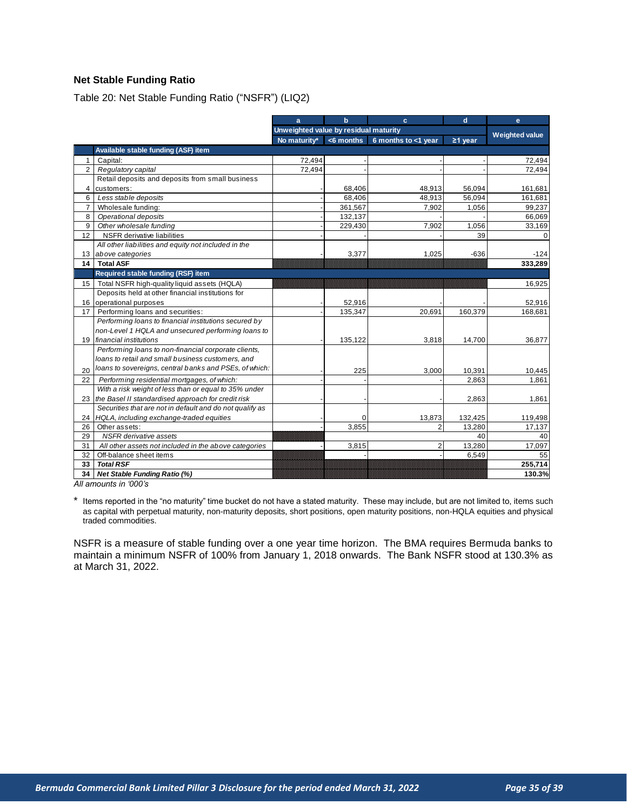## <span id="page-34-0"></span>**Net Stable Funding Ratio**

Table 20: Net Stable Funding Ratio ("NSFR") (LIQ2)

|                |                                                          | a                                     | $\mathbf b$  | $\mathbf{c}$        | d                     | $\mathbf{e}$ |
|----------------|----------------------------------------------------------|---------------------------------------|--------------|---------------------|-----------------------|--------------|
|                |                                                          | Unweighted value by residual maturity |              |                     | <b>Weighted value</b> |              |
|                |                                                          | No maturity*                          | $<$ 6 months | 6 months to <1 year | $\geq$ 1 year         |              |
|                | Available stable funding (ASF) item                      |                                       |              |                     |                       |              |
| $\mathbf{1}$   | Capital:                                                 | 72,494                                |              |                     |                       | 72,494       |
| $\overline{2}$ | Regulatory capital                                       | 72,494                                |              |                     |                       | 72,494       |
|                | Retail deposits and deposits from small business         |                                       |              |                     |                       |              |
| 4              | customers:                                               |                                       | 68,406       | 48,913              | 56,094                | 161,681      |
| 6              | Less stable deposits                                     |                                       | 68,406       | 48,913              | 56,094                | 161,681      |
| $\overline{7}$ | Wholesale funding:                                       |                                       | 361,567      | 7,902               | 1,056                 | 99,237       |
| 8              | Operational deposits                                     |                                       | 132,137      |                     |                       | 66,069       |
| 9              | Other wholesale funding                                  |                                       | 229,430      | 7,902               | 1,056                 | 33,169       |
| 12             | <b>NSFR</b> derivative liabilities                       |                                       |              |                     | 39                    |              |
|                | All other liabilities and equity not included in the     |                                       |              |                     |                       |              |
|                | 13 above categories                                      |                                       | 3,377        | 1,025               | $-636$                | $-124$       |
| 14             | <b>Total ASF</b>                                         |                                       |              |                     |                       | 333,289      |
|                | Required stable funding (RSF) item                       |                                       |              |                     |                       |              |
| 15             | Total NSFR high-quality liquid assets (HQLA)             |                                       |              |                     |                       | 16,925       |
|                | Deposits held at other financial institutions for        |                                       |              |                     |                       |              |
| 16             | operational purposes                                     |                                       | 52,916       |                     |                       | 52,916       |
| 17             | Performing loans and securities:                         |                                       | 135,347      | 20,691              | 160,379               | 168,681      |
|                | Performing loans to financial institutions secured by    |                                       |              |                     |                       |              |
|                | non-Level 1 HQLA and unsecured performing loans to       |                                       |              |                     |                       |              |
|                | 19 financial institutions                                |                                       | 135,122      | 3,818               | 14,700                | 36,877       |
|                | Performing loans to non-financial corporate clients,     |                                       |              |                     |                       |              |
|                | loans to retail and small business customers, and        |                                       |              |                     |                       |              |
| 20             | loans to sovereigns, central banks and PSEs, of which:   |                                       | 225          | 3,000               | 10,391                | 10,445       |
| 22             | Performing residential mortgages, of which:              |                                       |              |                     | 2,863                 | 1,861        |
|                | With a risk weight of less than or equal to 35% under    |                                       |              |                     |                       |              |
| 23             | the Basel II standardised approach for credit risk       |                                       |              |                     | 2,863                 | 1,861        |
|                | Securities that are not in default and do not qualify as |                                       |              |                     |                       |              |
| 24             | HQLA, including exchange-traded equities                 |                                       | $\Omega$     | 13,873              | 132,425               | 119,498      |
| 26             | Other assets:                                            |                                       | 3.855        | 2                   | 13,280                | 17,137       |
| 29             | <b>NSFR</b> derivative assets                            | 40                                    |              | 40                  |                       |              |
| 31             | All other assets not included in the above categories    |                                       | 3,815        | 2                   | 13,280                | 17,097       |
| 32             | Off-balance sheet items                                  |                                       |              |                     | 6,549                 | 55           |
| 33             | <b>Total RSF</b>                                         |                                       |              |                     |                       | 255,714      |
| 34             | <b>Net Stable Funding Ratio (%)</b>                      |                                       |              |                     |                       | 130.3%       |
|                | All amounts in '000's                                    |                                       |              |                     |                       |              |

*All amounts in '000's*

\* Items reported in the "no maturity" time bucket do not have a stated maturity. These may include, but are not limited to, items such as capital with perpetual maturity, non-maturity deposits, short positions, open maturity positions, non-HQLA equities and physical traded commodities.

NSFR is a measure of stable funding over a one year time horizon. The BMA requires Bermuda banks to maintain a minimum NSFR of 100% from January 1, 2018 onwards. The Bank NSFR stood at 130.3% as at March 31, 2022.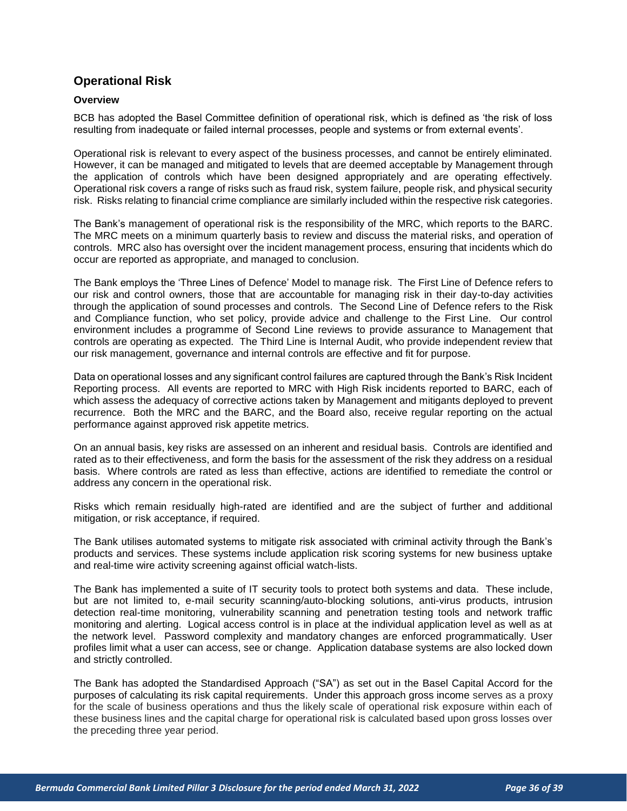# <span id="page-35-0"></span>**Operational Risk**

#### <span id="page-35-1"></span>**Overview**

BCB has adopted the Basel Committee definition of operational risk, which is defined as 'the risk of loss resulting from inadequate or failed internal processes, people and systems or from external events'.

Operational risk is relevant to every aspect of the business processes, and cannot be entirely eliminated. However, it can be managed and mitigated to levels that are deemed acceptable by Management through the application of controls which have been designed appropriately and are operating effectively. Operational risk covers a range of risks such as fraud risk, system failure, people risk, and physical security risk. Risks relating to financial crime compliance are similarly included within the respective risk categories.

The Bank's management of operational risk is the responsibility of the MRC, which reports to the BARC. The MRC meets on a minimum quarterly basis to review and discuss the material risks, and operation of controls. MRC also has oversight over the incident management process, ensuring that incidents which do occur are reported as appropriate, and managed to conclusion.

The Bank employs the 'Three Lines of Defence' Model to manage risk. The First Line of Defence refers to our risk and control owners, those that are accountable for managing risk in their day-to-day activities through the application of sound processes and controls. The Second Line of Defence refers to the Risk and Compliance function, who set policy, provide advice and challenge to the First Line. Our control environment includes a programme of Second Line reviews to provide assurance to Management that controls are operating as expected. The Third Line is Internal Audit, who provide independent review that our risk management, governance and internal controls are effective and fit for purpose.

Data on operational losses and any significant control failures are captured through the Bank's Risk Incident Reporting process. All events are reported to MRC with High Risk incidents reported to BARC, each of which assess the adequacy of corrective actions taken by Management and mitigants deployed to prevent recurrence. Both the MRC and the BARC, and the Board also, receive regular reporting on the actual performance against approved risk appetite metrics.

On an annual basis, key risks are assessed on an inherent and residual basis. Controls are identified and rated as to their effectiveness, and form the basis for the assessment of the risk they address on a residual basis. Where controls are rated as less than effective, actions are identified to remediate the control or address any concern in the operational risk.

Risks which remain residually high-rated are identified and are the subject of further and additional mitigation, or risk acceptance, if required.

The Bank utilises automated systems to mitigate risk associated with criminal activity through the Bank's products and services. These systems include application risk scoring systems for new business uptake and real-time wire activity screening against official watch-lists.

The Bank has implemented a suite of IT security tools to protect both systems and data. These include, but are not limited to, e-mail security scanning/auto-blocking solutions, anti-virus products, intrusion detection real-time monitoring, vulnerability scanning and penetration testing tools and network traffic monitoring and alerting. Logical access control is in place at the individual application level as well as at the network level. Password complexity and mandatory changes are enforced programmatically. User profiles limit what a user can access, see or change. Application database systems are also locked down and strictly controlled.

The Bank has adopted the Standardised Approach ("SA") as set out in the Basel Capital Accord for the purposes of calculating its risk capital requirements. Under this approach gross income serves as a proxy for the scale of business operations and thus the likely scale of operational risk exposure within each of these business lines and the capital charge for operational risk is calculated based upon gross losses over the preceding three year period.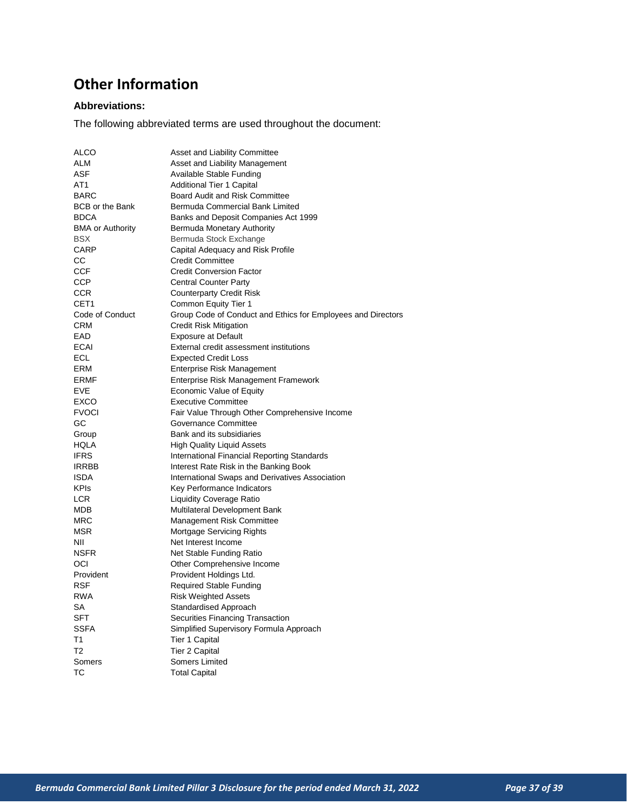# <span id="page-36-0"></span>**Other Information**

## **Abbreviations:**

The following abbreviated terms are used throughout the document:

| <b>ALCO</b>             | Asset and Liability Committee                                |
|-------------------------|--------------------------------------------------------------|
| <b>ALM</b>              | Asset and Liability Management                               |
| <b>ASF</b>              | Available Stable Funding                                     |
| AT <sub>1</sub>         | Additional Tier 1 Capital                                    |
| <b>BARC</b>             | Board Audit and Risk Committee                               |
| <b>BCB or the Bank</b>  | Bermuda Commercial Bank Limited                              |
| <b>BDCA</b>             | Banks and Deposit Companies Act 1999                         |
| <b>BMA or Authority</b> | Bermuda Monetary Authority                                   |
| <b>BSX</b>              | Bermuda Stock Exchange                                       |
| CARP                    | Capital Adequacy and Risk Profile                            |
| СC                      | <b>Credit Committee</b>                                      |
| <b>CCF</b>              | <b>Credit Conversion Factor</b>                              |
| <b>CCP</b>              | <b>Central Counter Party</b>                                 |
| <b>CCR</b>              | <b>Counterparty Credit Risk</b>                              |
| CET <sub>1</sub>        | Common Equity Tier 1                                         |
| Code of Conduct         | Group Code of Conduct and Ethics for Employees and Directors |
| <b>CRM</b>              | <b>Credit Risk Mitigation</b>                                |
| EAD                     | <b>Exposure at Default</b>                                   |
| <b>ECAI</b>             | External credit assessment institutions                      |
| <b>ECL</b>              | <b>Expected Credit Loss</b>                                  |
| <b>ERM</b>              | Enterprise Risk Management                                   |
| <b>ERMF</b>             | Enterprise Risk Management Framework                         |
| <b>EVE</b>              | Economic Value of Equity                                     |
| EXCO                    | <b>Executive Committee</b>                                   |
| <b>FVOCI</b>            | Fair Value Through Other Comprehensive Income                |
| GC                      | Governance Committee                                         |
| Group                   | Bank and its subsidiaries                                    |
| <b>HQLA</b>             | <b>High Quality Liquid Assets</b>                            |
| <b>IFRS</b>             | International Financial Reporting Standards                  |
| <b>IRRBB</b>            | Interest Rate Risk in the Banking Book                       |
| <b>ISDA</b>             | International Swaps and Derivatives Association              |
| <b>KPIs</b>             | Key Performance Indicators                                   |
| <b>LCR</b>              | <b>Liquidity Coverage Ratio</b>                              |
| <b>MDB</b>              | Multilateral Development Bank                                |
| <b>MRC</b>              | <b>Management Risk Committee</b>                             |
| <b>MSR</b>              | Mortgage Servicing Rights                                    |
| NII                     | Net Interest Income                                          |
| <b>NSFR</b>             | Net Stable Funding Ratio                                     |
| OCI                     | Other Comprehensive Income                                   |
| Provident               | Provident Holdings Ltd.                                      |
| <b>RSF</b>              | <b>Required Stable Funding</b>                               |
| <b>RWA</b>              | <b>Risk Weighted Assets</b>                                  |
| <b>SA</b>               | <b>Standardised Approach</b>                                 |
| <b>SFT</b>              | Securities Financing Transaction                             |
| <b>SSFA</b>             | Simplified Supervisory Formula Approach                      |
| T1                      | <b>Tier 1 Capital</b>                                        |
| T <sub>2</sub>          | <b>Tier 2 Capital</b>                                        |
| Somers                  | <b>Somers Limited</b>                                        |
| ТC                      | <b>Total Capital</b>                                         |
|                         |                                                              |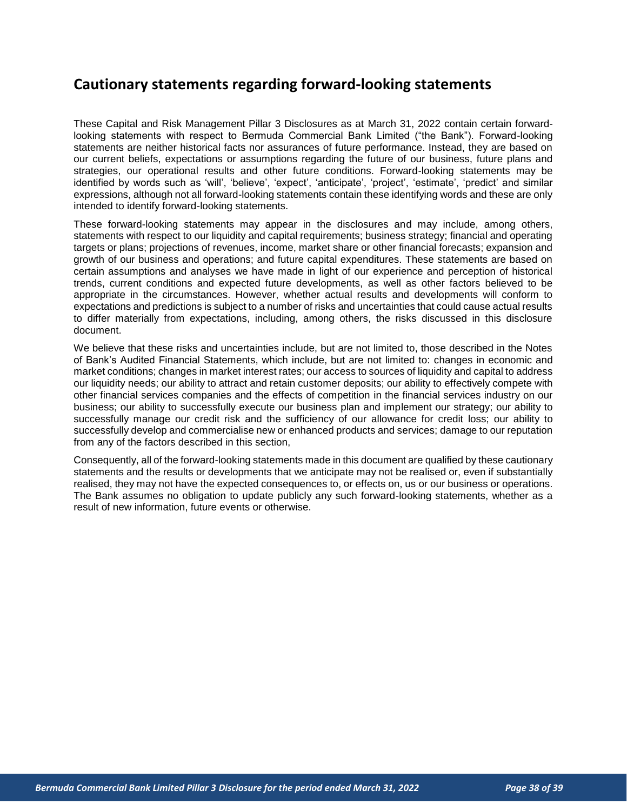# <span id="page-37-0"></span>**Cautionary statements regarding forward-looking statements**

These Capital and Risk Management Pillar 3 Disclosures as at March 31, 2022 contain certain forwardlooking statements with respect to Bermuda Commercial Bank Limited ("the Bank"). Forward-looking statements are neither historical facts nor assurances of future performance. Instead, they are based on our current beliefs, expectations or assumptions regarding the future of our business, future plans and strategies, our operational results and other future conditions. Forward-looking statements may be identified by words such as 'will', 'believe', 'expect', 'anticipate', 'project', 'estimate', 'predict' and similar expressions, although not all forward-looking statements contain these identifying words and these are only intended to identify forward-looking statements.

These forward-looking statements may appear in the disclosures and may include, among others, statements with respect to our liquidity and capital requirements; business strategy; financial and operating targets or plans; projections of revenues, income, market share or other financial forecasts; expansion and growth of our business and operations; and future capital expenditures. These statements are based on certain assumptions and analyses we have made in light of our experience and perception of historical trends, current conditions and expected future developments, as well as other factors believed to be appropriate in the circumstances. However, whether actual results and developments will conform to expectations and predictions is subject to a number of risks and uncertainties that could cause actual results to differ materially from expectations, including, among others, the risks discussed in this disclosure document.

We believe that these risks and uncertainties include, but are not limited to, those described in the Notes of Bank's Audited Financial Statements, which include, but are not limited to: changes in economic and market conditions; changes in market interest rates; our access to sources of liquidity and capital to address our liquidity needs; our ability to attract and retain customer deposits; our ability to effectively compete with other financial services companies and the effects of competition in the financial services industry on our business; our ability to successfully execute our business plan and implement our strategy; our ability to successfully manage our credit risk and the sufficiency of our allowance for credit loss; our ability to successfully develop and commercialise new or enhanced products and services; damage to our reputation from any of the factors described in this section,

Consequently, all of the forward-looking statements made in this document are qualified by these cautionary statements and the results or developments that we anticipate may not be realised or, even if substantially realised, they may not have the expected consequences to, or effects on, us or our business or operations. The Bank assumes no obligation to update publicly any such forward-looking statements, whether as a result of new information, future events or otherwise.